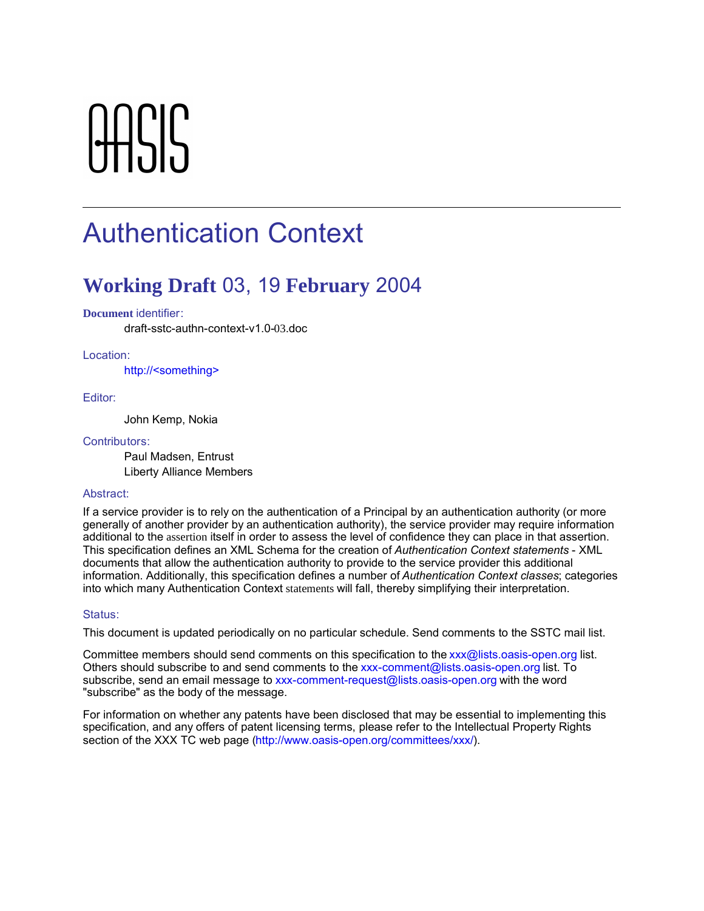# **OACIC**

# Authentication Context

## **Working Draft** 03, 19 **February** 2004

#### **Document** identifier:

draft-sstc-authn-context-v1.0-03.doc

#### Location:

http://<something>

#### Editor:

John Kemp, Nokia

#### Contributors:

Paul Madsen, Entrust Liberty Alliance Members

#### Abstract:

If a service provider is to rely on the authentication of a Principal by an authentication authority (or more generally of another provider by an authentication authority), the service provider may require information additional to the assertion itself in order to assess the level of confidence they can place in that assertion. This specification defines an XML Schema for the creation of *Authentication Context statements* - XML documents that allow the authentication authority to provide to the service provider this additional information. Additionally, this specification defines a number of *Authentication Context classes*; categories into which many Authentication Context statements will fall, thereby simplifying their interpretation.

#### Status:

This document is updated periodically on no particular schedule. Send comments to the SSTC mail list.

Committee members should send comments on this specification to the xxx@lists.oasis-open.org list. Others should subscribe to and send comments to the xxx-comment@lists.oasis-open.org list. To subscribe, send an email message to xxx-comment-request@lists.oasis-open.org with the word "subscribe" as the body of the message.

For information on whether any patents have been disclosed that may be essential to implementing this specification, and any offers of patent licensing terms, please refer to the Intellectual Property Rights section of the XXX TC web page (http://www.oasis-open.org/committees/xxx/).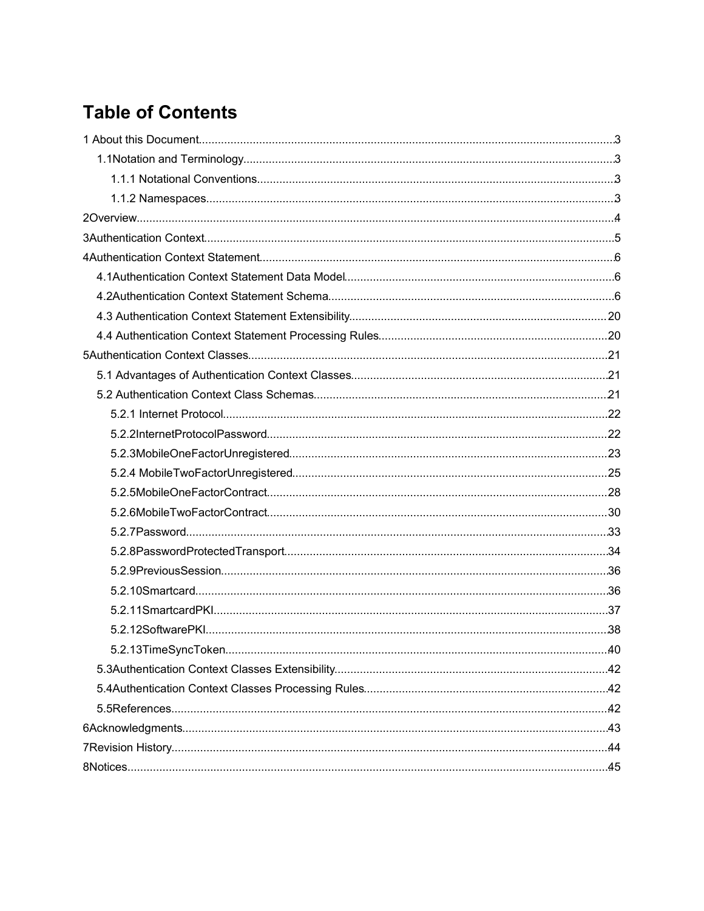## **Table of Contents**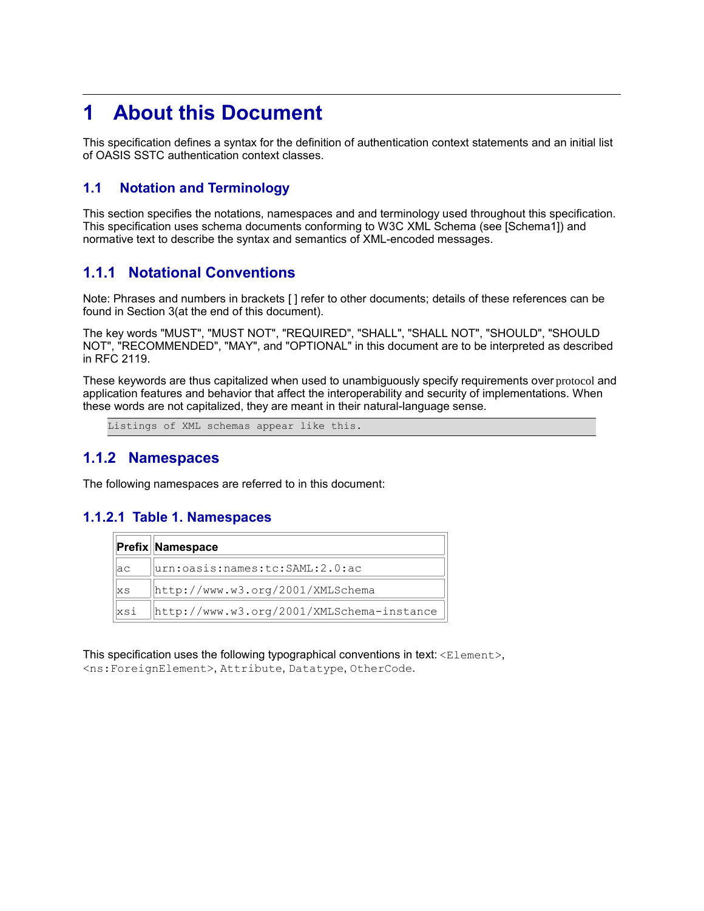## **1 About this Document**

This specification defines a syntax for the definition of authentication context statements and an initial list of OASIS SSTC authentication context classes.

#### **1.1 Notation and Terminology**

This section specifies the notations, namespaces and and terminology used throughout this specification. This specification uses schema documents conforming to W3C XML Schema (see [Schema1]) and normative text to describe the syntax and semantics of XML-encoded messages.

#### **1.1.1 Notational Conventions**

Note: Phrases and numbers in brackets [ ] refer to other documents; details of these references can be found in Section 3(at the end of this document).

The key words "MUST", "MUST NOT", "REQUIRED", "SHALL", "SHALL NOT", "SHOULD", "SHOULD NOT", "RECOMMENDED", "MAY", and "OPTIONAL" in this document are to be interpreted as described in RFC 2119.

These keywords are thus capitalized when used to unambiguously specify requirements over protocol and application features and behavior that affect the interoperability and security of implementations. When these words are not capitalized, they are meant in their natural-language sense.

Listings of XML schemas appear like this.

#### **1.1.2 Namespaces**

The following namespaces are referred to in this document:

#### **1.1.2.1 Table 1. Namespaces**

|           | <b>Prefix Namespace</b>                   |
|-----------|-------------------------------------------|
| <b>ac</b> | urn:oasis:names:tc:SAML:2.0:ac            |
| <b>XS</b> | http://www.w3.org/2001/XMLSchema          |
| xsi       | http://www.w3.org/2001/XMLSchema-instance |

This specification uses the following typographical conventions in text:  $\langle$ Element>, <ns:ForeignElement>, Attribute, Datatype, OtherCode.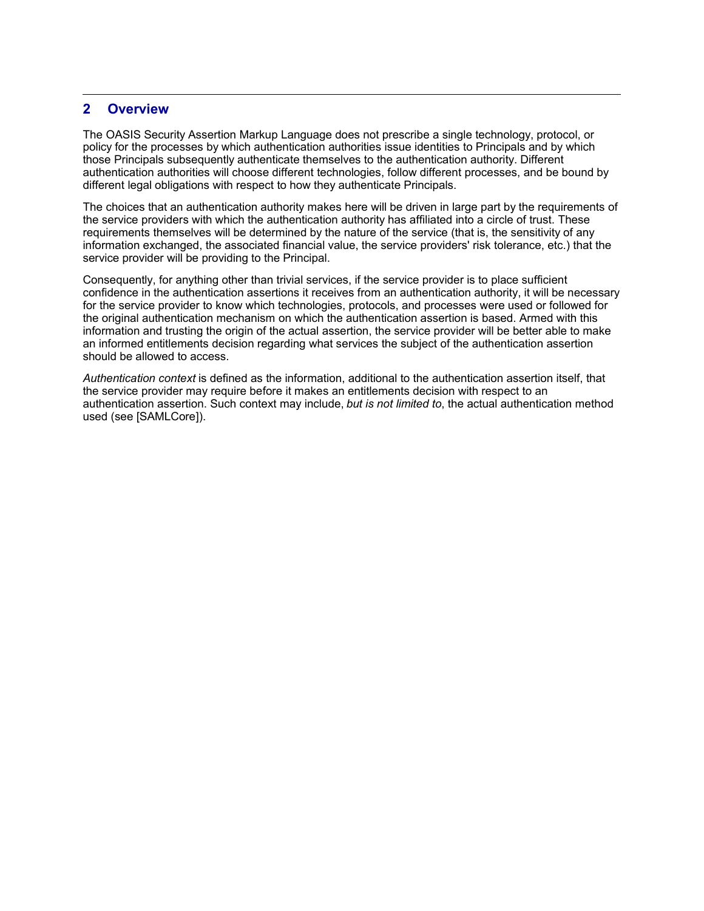#### **2 Overview**

The OASIS Security Assertion Markup Language does not prescribe a single technology, protocol, or policy for the processes by which authentication authorities issue identities to Principals and by which those Principals subsequently authenticate themselves to the authentication authority. Different authentication authorities will choose different technologies, follow different processes, and be bound by different legal obligations with respect to how they authenticate Principals.

The choices that an authentication authority makes here will be driven in large part by the requirements of the service providers with which the authentication authority has affiliated into a circle of trust. These requirements themselves will be determined by the nature of the service (that is, the sensitivity of any information exchanged, the associated financial value, the service providers' risk tolerance, etc.) that the service provider will be providing to the Principal.

Consequently, for anything other than trivial services, if the service provider is to place sufficient confidence in the authentication assertions it receives from an authentication authority, it will be necessary for the service provider to know which technologies, protocols, and processes were used or followed for the original authentication mechanism on which the authentication assertion is based. Armed with this information and trusting the origin of the actual assertion, the service provider will be better able to make an informed entitlements decision regarding what services the subject of the authentication assertion should be allowed to access.

*Authentication context* is defined as the information, additional to the authentication assertion itself, that the service provider may require before it makes an entitlements decision with respect to an authentication assertion. Such context may include, *but is not limited to*, the actual authentication method used (see [SAMLCore]).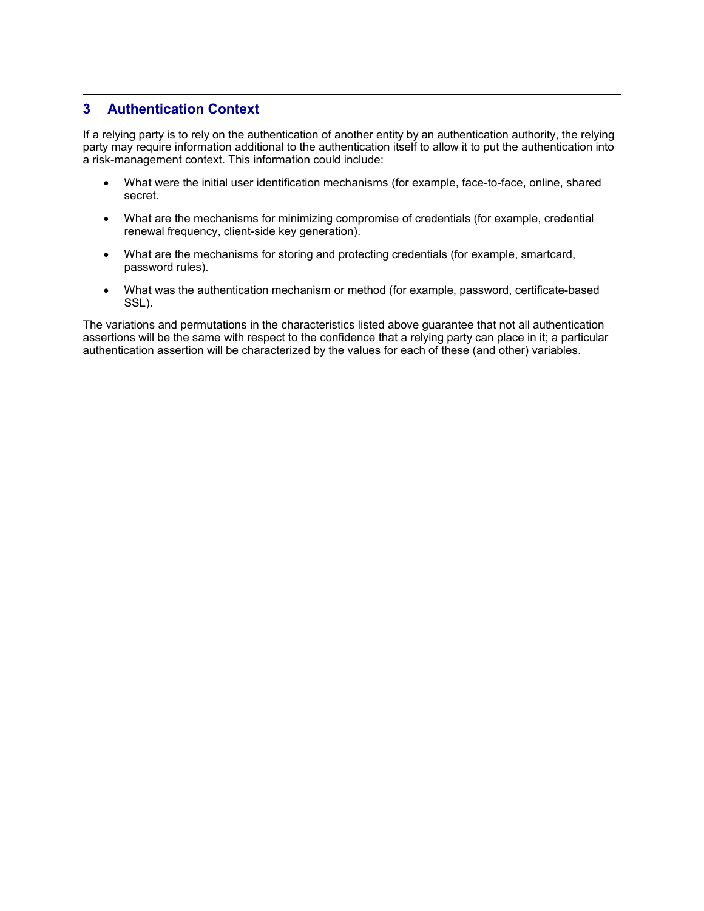#### **3 Authentication Context**

If a relying party is to rely on the authentication of another entity by an authentication authority, the relying party may require information additional to the authentication itself to allow it to put the authentication into a risk-management context. This information could include:

- What were the initial user identification mechanisms (for example, face-to-face, online, shared secret.
- What are the mechanisms for minimizing compromise of credentials (for example, credential renewal frequency, client-side key generation).
- What are the mechanisms for storing and protecting credentials (for example, smartcard, password rules).
- What was the authentication mechanism or method (for example, password, certificate-based SSL).

The variations and permutations in the characteristics listed above guarantee that not all authentication assertions will be the same with respect to the confidence that a relying party can place in it; a particular authentication assertion will be characterized by the values for each of these (and other) variables.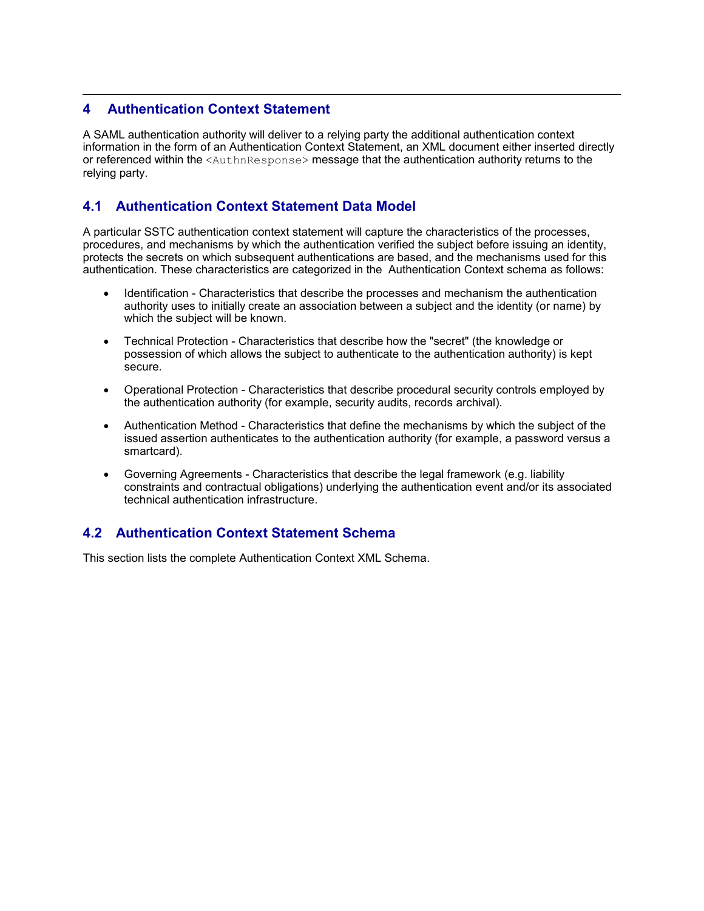#### **4 Authentication Context Statement**

A SAML authentication authority will deliver to a relying party the additional authentication context information in the form of an Authentication Context Statement, an XML document either inserted directly or referenced within the <AuthnResponse> message that the authentication authority returns to the relying party.

#### **4.1 Authentication Context Statement Data Model**

A particular SSTC authentication context statement will capture the characteristics of the processes, procedures, and mechanisms by which the authentication verified the subject before issuing an identity, protects the secrets on which subsequent authentications are based, and the mechanisms used for this authentication. These characteristics are categorized in the Authentication Context schema as follows:

- Identification Characteristics that describe the processes and mechanism the authentication authority uses to initially create an association between a subject and the identity (or name) by which the subject will be known.
- Technical Protection Characteristics that describe how the "secret" (the knowledge or possession of which allows the subject to authenticate to the authentication authority) is kept secure.
- Operational Protection Characteristics that describe procedural security controls employed by the authentication authority (for example, security audits, records archival).
- Authentication Method Characteristics that define the mechanisms by which the subject of the issued assertion authenticates to the authentication authority (for example, a password versus a smartcard).
- Governing Agreements Characteristics that describe the legal framework (e.g. liability constraints and contractual obligations) underlying the authentication event and/or its associated technical authentication infrastructure.

#### **4.2 Authentication Context Statement Schema**

This section lists the complete Authentication Context XML Schema.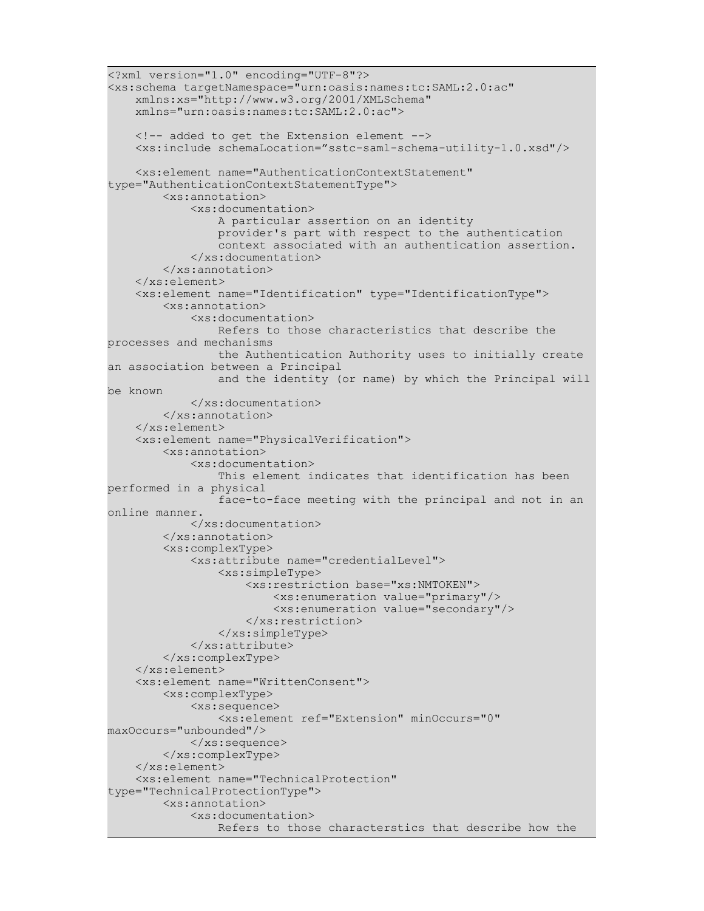```
<?xml version="1.0" encoding="UTF-8"?>
<xs:schema targetNamespace="urn:oasis:names:tc:SAML:2.0:ac" 
     xmlns:xs="http://www.w3.org/2001/XMLSchema" 
     xmlns="urn:oasis:names:tc:SAML:2.0:ac">
    \langle -- added to get the Extension element -->
     <xs:include schemaLocation="sstc-saml-schema-utility-1.0.xsd"/>
     <xs:element name="AuthenticationContextStatement"
type="AuthenticationContextStatementType">
         <xs:annotation>
             <xs:documentation>
                 A particular assertion on an identity
                 provider's part with respect to the authentication
                 context associated with an authentication assertion. 
             </xs:documentation>
         </xs:annotation>
     </xs:element>
     <xs:element name="Identification" type="IdentificationType">
         <xs:annotation>
             <xs:documentation>
                 Refers to those characteristics that describe the
processes and mechanisms 
                 the Authentication Authority uses to initially create
an association between a Principal 
                 and the identity (or name) by which the Principal will
be known
             </xs:documentation>
         </xs:annotation>
     </xs:element>
     <xs:element name="PhysicalVerification">
         <xs:annotation>
             <xs:documentation>
                 This element indicates that identification has been
performed in a physical 
                 face-to-face meeting with the principal and not in an
online manner. 
             </xs:documentation>
         </xs:annotation>
         <xs:complexType>
             <xs:attribute name="credentialLevel">
                 <xs:simpleType>
                      <xs:restriction base="xs:NMTOKEN">
                          <xs:enumeration value="primary"/>
                          <xs:enumeration value="secondary"/>
                      </xs:restriction>
                 </xs:simpleType>
             </xs:attribute>
         </xs:complexType>
     </xs:element>
     <xs:element name="WrittenConsent">
         <xs:complexType>
             <xs:sequence>
                 <xs:element ref="Extension" minOccurs="0"
maxOccurs="unbounded"/>
            \langle xs:sequence \rangle </xs:complexType>
     </xs:element>
     <xs:element name="TechnicalProtection"
type="TechnicalProtectionType">
         <xs:annotation>
             <xs:documentation>
                 Refers to those characterstics that describe how the
```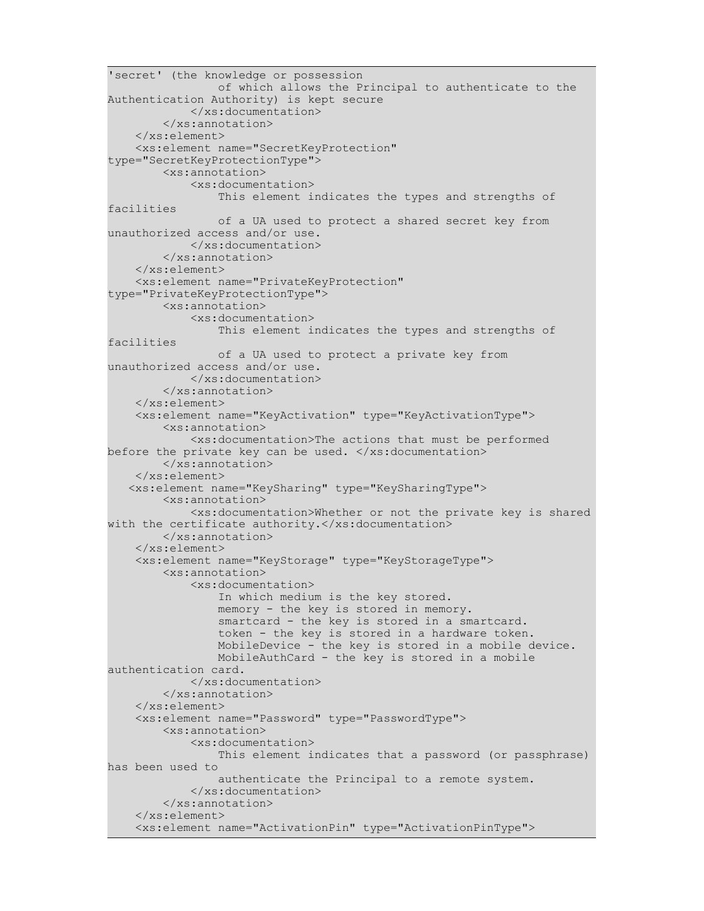```
'secret' (the knowledge or possession 
                 of which allows the Principal to authenticate to the
Authentication Authority) is kept secure
             </xs:documentation>
         </xs:annotation>
     </xs:element>
     <xs:element name="SecretKeyProtection"
type="SecretKeyProtectionType">
         <xs:annotation>
             <xs:documentation>
                 This element indicates the types and strengths of
facilities 
                 of a UA used to protect a shared secret key from
unauthorized access and/or use.
             </xs:documentation>
         </xs:annotation>
     </xs:element>
     <xs:element name="PrivateKeyProtection"
type="PrivateKeyProtectionType">
         <xs:annotation>
             <xs:documentation>
                 This element indicates the types and strengths of
facilities 
                 of a UA used to protect a private key from
unauthorized access and/or use.
             </xs:documentation>
         </xs:annotation>
     </xs:element>
     <xs:element name="KeyActivation" type="KeyActivationType">
         <xs:annotation>
             <xs:documentation>The actions that must be performed
before the private key can be used. \langle x, y \rangle is: documentation>
         </xs:annotation>
     </xs:element>
    <xs:element name="KeySharing" type="KeySharingType">
         <xs:annotation>
             <xs:documentation>Whether or not the private key is shared
with the certificate authority.</xs:documentation>
         </xs:annotation>
     </xs:element>
     <xs:element name="KeyStorage" type="KeyStorageType">
         <xs:annotation>
             <xs:documentation>
                 In which medium is the key stored.
                 memory - the key is stored in memory. 
                 smartcard - the key is stored in a smartcard.
                 token - the key is stored in a hardware token. 
                 MobileDevice - the key is stored in a mobile device.
                 MobileAuthCard - the key is stored in a mobile
authentication card. 
             </xs:documentation>
         </xs:annotation>
     </xs:element>
     <xs:element name="Password" type="PasswordType">
         <xs:annotation>
             <xs:documentation>
                 This element indicates that a password (or passphrase)
has been used to 
                 authenticate the Principal to a remote system.
             </xs:documentation>
         </xs:annotation>
     </xs:element>
     <xs:element name="ActivationPin" type="ActivationPinType">
```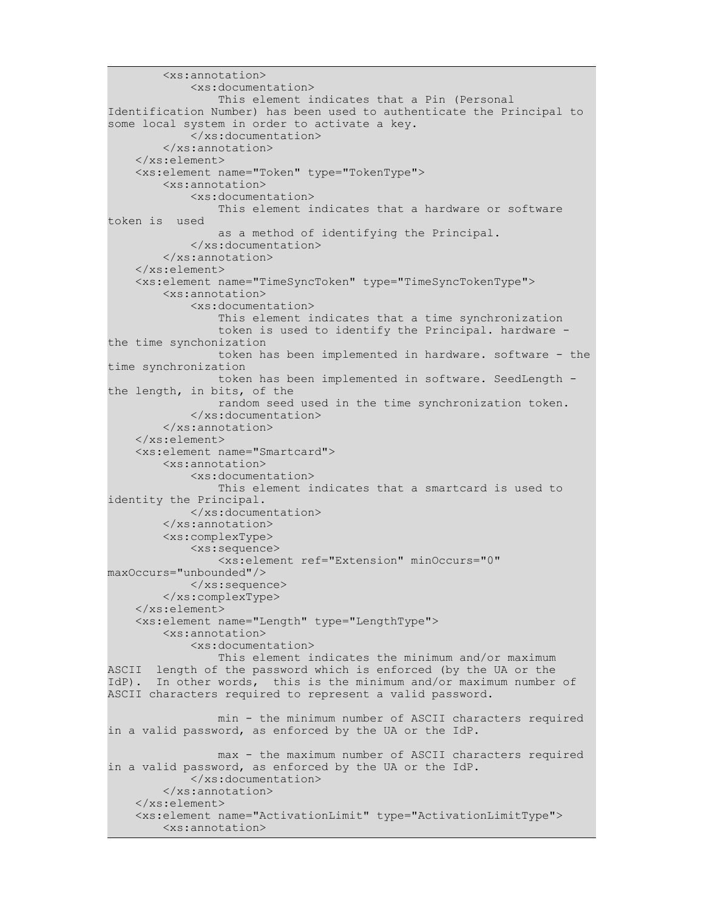```
 <xs:annotation>
             <xs:documentation>
                 This element indicates that a Pin (Personal
Identification Number) has been used to authenticate the Principal to
some local system in order to activate a key. 
             </xs:documentation>
         </xs:annotation>
     </xs:element>
     <xs:element name="Token" type="TokenType">
         <xs:annotation>
             <xs:documentation>
                 This element indicates that a hardware or software
token is used 
                 as a method of identifying the Principal.
             </xs:documentation>
         </xs:annotation>
     </xs:element>
     <xs:element name="TimeSyncToken" type="TimeSyncTokenType">
         <xs:annotation>
             <xs:documentation>
                 This element indicates that a time synchronization 
                 token is used to identify the Principal. hardware -
the time synchonization 
                 token has been implemented in hardware. software - the
time synchronization 
                 token has been implemented in software. SeedLength -
the length, in bits, of the 
                 random seed used in the time synchronization token. 
             </xs:documentation>
         </xs:annotation>
     </xs:element>
     <xs:element name="Smartcard">
         <xs:annotation>
             <xs:documentation>
                 This element indicates that a smartcard is used to
identity the Principal.
             </xs:documentation>
         </xs:annotation>
         <xs:complexType>
             <xs:sequence>
                 <xs:element ref="Extension" minOccurs="0"
maxOccurs="unbounded"/>
            \langle xs:sequence \rangle </xs:complexType>
     </xs:element>
     <xs:element name="Length" type="LengthType">
         <xs:annotation>
             <xs:documentation>
                 This element indicates the minimum and/or maximum
ASCII length of the password which is enforced (by the UA or the
IdP). In other words, this is the minimum and/or maximum number of
ASCII characters required to represent a valid password.
                 min - the minimum number of ASCII characters required
in a valid password, as enforced by the UA or the IdP.
                 max - the maximum number of ASCII characters required
in a valid password, as enforced by the UA or the IdP.
             </xs:documentation>
         </xs:annotation>
     </xs:element>
     <xs:element name="ActivationLimit" type="ActivationLimitType">
         <xs:annotation>
```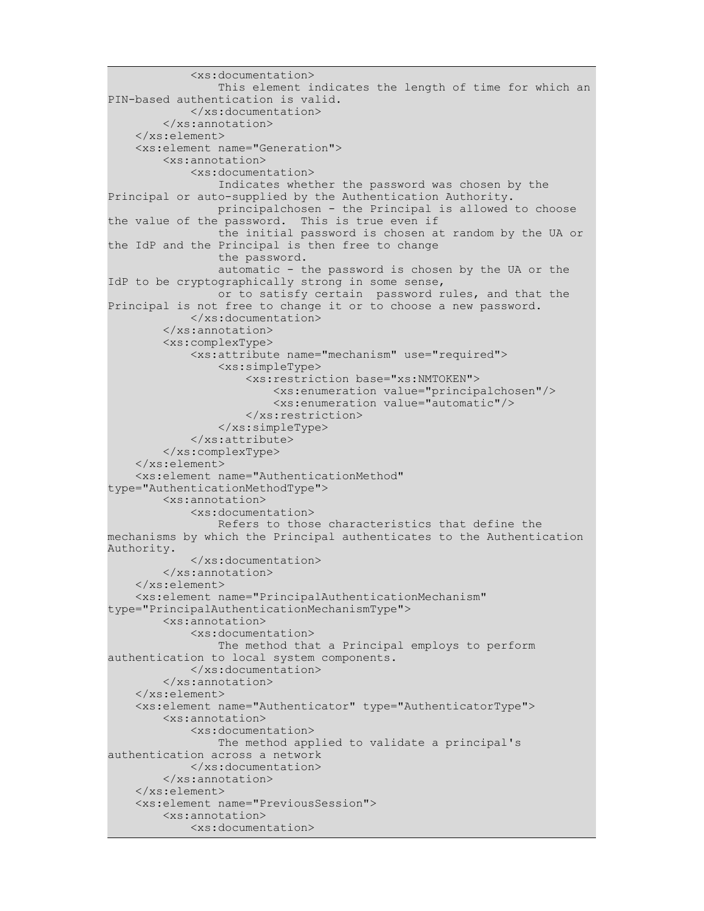```
 <xs:documentation>
                 This element indicates the length of time for which an
PIN-based authentication is valid. 
             </xs:documentation>
         </xs:annotation>
     </xs:element>
     <xs:element name="Generation">
         <xs:annotation>
             <xs:documentation>
                 Indicates whether the password was chosen by the
Principal or auto-supplied by the Authentication Authority.
                 principalchosen - the Principal is allowed to choose
the value of the password. This is true even if 
                 the initial password is chosen at random by the UA or
the IdP and the Principal is then free to change 
                 the password. 
                 automatic - the password is chosen by the UA or the
IdP to be cryptographically strong in some sense, 
                 or to satisfy certain password rules, and that the
Principal is not free to change it or to choose a new password. 
             </xs:documentation>
         </xs:annotation>
         <xs:complexType>
             <xs:attribute name="mechanism" use="required">
                 <xs:simpleType>
                     <xs:restriction base="xs:NMTOKEN">
                          <xs:enumeration value="principalchosen"/>
                          <xs:enumeration value="automatic"/>
                     </xs:restriction>
                 </xs:simpleType>
             </xs:attribute>
         </xs:complexType>
     </xs:element>
     <xs:element name="AuthenticationMethod"
type="AuthenticationMethodType">
         <xs:annotation>
             <xs:documentation>
                 Refers to those characteristics that define the
mechanisms by which the Principal authenticates to the Authentication
Authority.
             </xs:documentation>
         </xs:annotation>
     </xs:element>
     <xs:element name="PrincipalAuthenticationMechanism"
type="PrincipalAuthenticationMechanismType">
         <xs:annotation>
             <xs:documentation>
                 The method that a Principal employs to perform
authentication to local system components.
             </xs:documentation>
         </xs:annotation>
     </xs:element>
     <xs:element name="Authenticator" type="AuthenticatorType">
         <xs:annotation>
             <xs:documentation>
                 The method applied to validate a principal's
authentication across a network 
             </xs:documentation>
         </xs:annotation>
     </xs:element>
     <xs:element name="PreviousSession">
         <xs:annotation>
             <xs:documentation>
```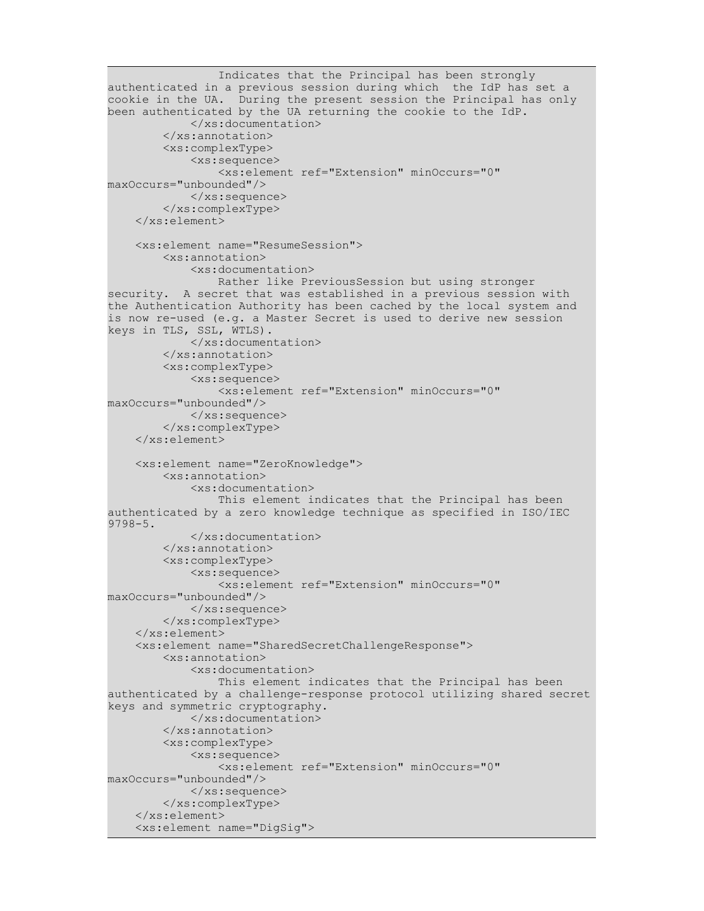```
 Indicates that the Principal has been strongly
authenticated in a previous session during which the IdP has set a
cookie in the UA. During the present session the Principal has only
been authenticated by the UA returning the cookie to the IdP.
             </xs:documentation>
         </xs:annotation>
         <xs:complexType>
             <xs:sequence>
                 <xs:element ref="Extension" minOccurs="0"
maxOccurs="unbounded"/>
             </xs:sequence>
         </xs:complexType>
     </xs:element>
     <xs:element name="ResumeSession">
         <xs:annotation>
             <xs:documentation>
                 Rather like PreviousSession but using stronger
security. A secret that was established in a previous session with
the Authentication Authority has been cached by the local system and
is now re-used (e.g. a Master Secret is used to derive new session
keys in TLS, SSL, WTLS).
             </xs:documentation>
         </xs:annotation>
         <xs:complexType>
             <xs:sequence>
                 <xs:element ref="Extension" minOccurs="0"
maxOccurs="unbounded"/>
            \langle xs:sequence \rangle </xs:complexType>
     </xs:element>
     <xs:element name="ZeroKnowledge">
         <xs:annotation>
             <xs:documentation>
                 This element indicates that the Principal has been
authenticated by a zero knowledge technique as specified in ISO/IEC
9798-5.
             </xs:documentation>
         </xs:annotation>
         <xs:complexType>
             <xs:sequence>
                 <xs:element ref="Extension" minOccurs="0"
maxOccurs="unbounded"/>
             </xs:sequence>
         </xs:complexType>
     </xs:element>
     <xs:element name="SharedSecretChallengeResponse">
         <xs:annotation>
             <xs:documentation>
                 This element indicates that the Principal has been
authenticated by a challenge-response protocol utilizing shared secret
keys and symmetric cryptography.
             </xs:documentation>
         </xs:annotation>
         <xs:complexType>
             <xs:sequence>
                 <xs:element ref="Extension" minOccurs="0"
maxOccurs="unbounded"/>
             </xs:sequence>
         </xs:complexType>
     </xs:element>
     <xs:element name="DigSig">
```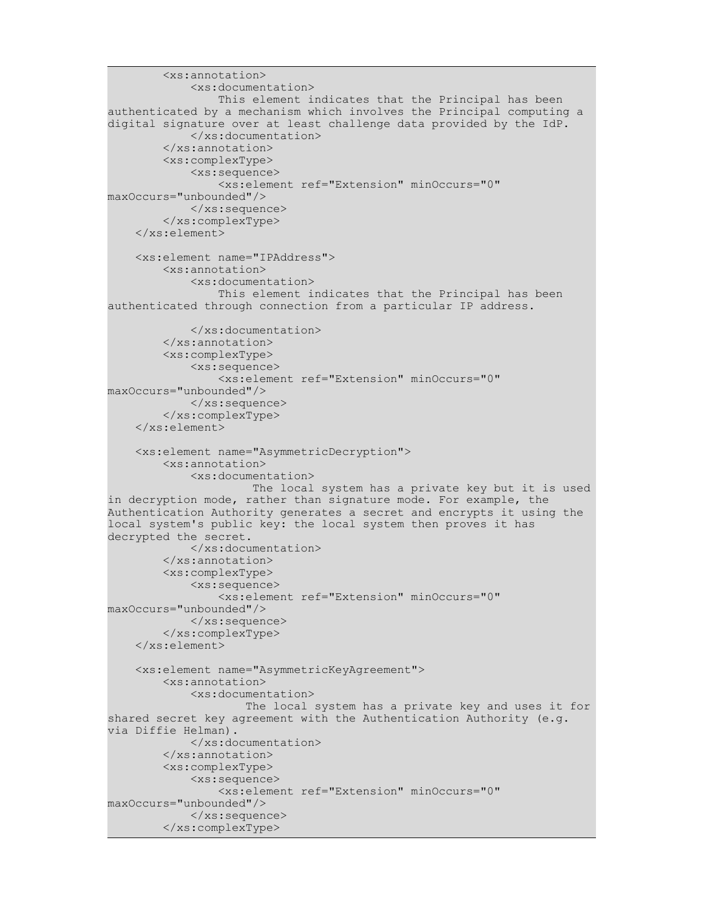```
 <xs:annotation>
             <xs:documentation>
                 This element indicates that the Principal has been
authenticated by a mechanism which involves the Principal computing a
digital signature over at least challenge data provided by the IdP.
             </xs:documentation>
         </xs:annotation>
         <xs:complexType>
             <xs:sequence>
                 <xs:element ref="Extension" minOccurs="0"
maxOccurs="unbounded"/>
            \langle xs:sequence \rangle </xs:complexType>
     </xs:element>
     <xs:element name="IPAddress">
         <xs:annotation>
             <xs:documentation>
                 This element indicates that the Principal has been
authenticated through connection from a particular IP address.
             </xs:documentation>
         </xs:annotation>
         <xs:complexType>
             <xs:sequence>
                 <xs:element ref="Extension" minOccurs="0"
maxOccurs="unbounded"/>
            \langle xs:sequence \rangle </xs:complexType>
     </xs:element>
     <xs:element name="AsymmetricDecryption">
         <xs:annotation>
             <xs:documentation>
                      The local system has a private key but it is used
in decryption mode, rather than signature mode. For example, the
Authentication Authority generates a secret and encrypts it using the
local system's public key: the local system then proves it has
decrypted the secret.
             </xs:documentation>
         </xs:annotation>
         <xs:complexType>
             <xs:sequence>
                 <xs:element ref="Extension" minOccurs="0"
maxOccurs="unbounded"/>
             </xs:sequence>
         </xs:complexType>
     </xs:element>
     <xs:element name="AsymmetricKeyAgreement">
         <xs:annotation>
             <xs:documentation>
                     The local system has a private key and uses it for
shared secret key agreement with the Authentication Authority (e.g.
via Diffie Helman).
             </xs:documentation>
         </xs:annotation>
         <xs:complexType>
             <xs:sequence>
                 <xs:element ref="Extension" minOccurs="0"
maxOccurs="unbounded"/>
             </xs:sequence>
         </xs:complexType>
```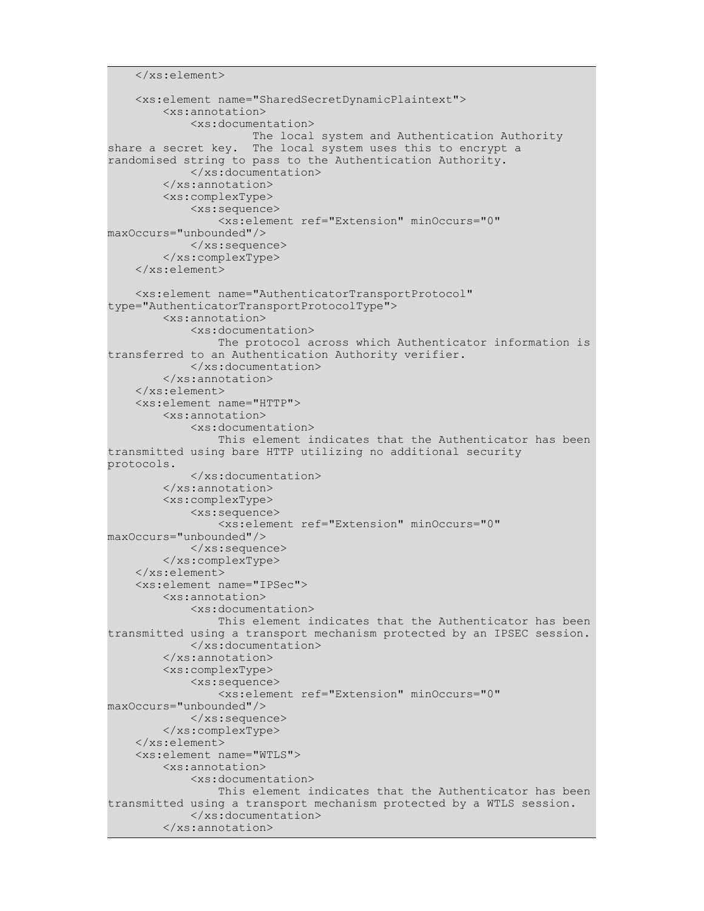```
 </xs:element>
     <xs:element name="SharedSecretDynamicPlaintext">
         <xs:annotation>
             <xs:documentation>
                      The local system and Authentication Authority
share a secret key. The local system uses this to encrypt a
randomised string to pass to the Authentication Authority. 
             </xs:documentation>
         </xs:annotation>
         <xs:complexType>
             <xs:sequence>
                  <xs:element ref="Extension" minOccurs="0"
maxOccurs="unbounded"/>
            \langle xs:sequence \rangle </xs:complexType>
     </xs:element>
     <xs:element name="AuthenticatorTransportProtocol"
type="AuthenticatorTransportProtocolType">
         <xs:annotation>
             <xs:documentation>
                  The protocol across which Authenticator information is
transferred to an Authentication Authority verifier.
             </xs:documentation>
         </xs:annotation>
     </xs:element>
     <xs:element name="HTTP">
         <xs:annotation>
             <xs:documentation>
                  This element indicates that the Authenticator has been
transmitted using bare HTTP utilizing no additional security
protocols.
             </xs:documentation>
         </xs:annotation>
         <xs:complexType>
             <xs:sequence>
                  <xs:element ref="Extension" minOccurs="0"
maxOccurs="unbounded"/>
            \langle xs:sequence \rangle </xs:complexType>
     </xs:element>
     <xs:element name="IPSec">
         <xs:annotation>
             <xs:documentation>
                  This element indicates that the Authenticator has been
transmitted using a transport mechanism protected by an IPSEC session.
             </xs:documentation>
         </xs:annotation>
         <xs:complexType>
             <xs:sequence>
                  <xs:element ref="Extension" minOccurs="0"
maxOccurs="unbounded"/>
            \langle xs:sequence \rangle </xs:complexType>
     </xs:element>
     <xs:element name="WTLS">
         <xs:annotation>
             <xs:documentation>
                  This element indicates that the Authenticator has been
transmitted using a transport mechanism protected by a WTLS session.
             </xs:documentation>
         </xs:annotation>
```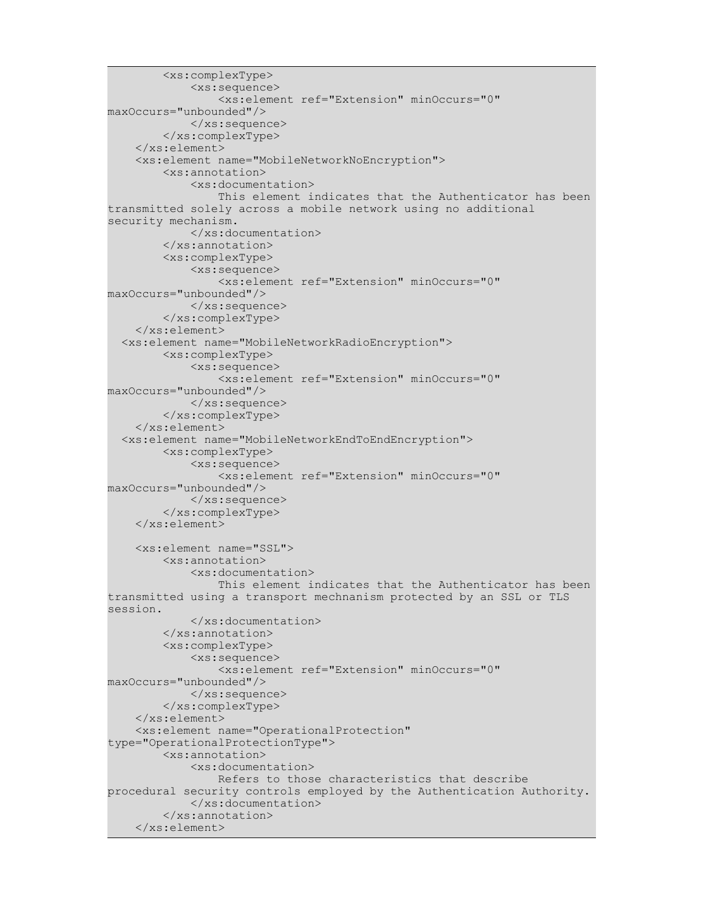```
 <xs:complexType>
              <xs:sequence>
                  <xs:element ref="Extension" minOccurs="0"
maxOccurs="unbounded"/>
            \langle xs:sequence \rangle </xs:complexType>
     </xs:element>
     <xs:element name="MobileNetworkNoEncryption">
         <xs:annotation>
             <xs:documentation>
                  This element indicates that the Authenticator has been
transmitted solely across a mobile network using no additional
security mechanism.
             </xs:documentation>
         </xs:annotation>
         <xs:complexType>
              <xs:sequence>
                  <xs:element ref="Extension" minOccurs="0"
maxOccurs="unbounded"/>
            \langle xs:sequence \rangle </xs:complexType>
     </xs:element>
   <xs:element name="MobileNetworkRadioEncryption">
         <xs:complexType>
              <xs:sequence>
                  <xs:element ref="Extension" minOccurs="0"
maxOccurs="unbounded"/>
            \langle xs:sequence \rangle </xs:complexType>
     </xs:element>
   <xs:element name="MobileNetworkEndToEndEncryption">
         <xs:complexType>
              <xs:sequence>
                  <xs:element ref="Extension" minOccurs="0"
maxOccurs="unbounded"/>
             </xs:sequence>
         </xs:complexType>
     </xs:element>
     <xs:element name="SSL">
         <xs:annotation>
             <xs:documentation>
                  This element indicates that the Authenticator has been
transmitted using a transport mechnanism protected by an SSL or TLS
session.
             </xs:documentation>
         </xs:annotation>
         <xs:complexType>
              <xs:sequence>
                  <xs:element ref="Extension" minOccurs="0"
maxOccurs="unbounded"/>
            \langle xs:sequence \rangle </xs:complexType>
     </xs:element>
     <xs:element name="OperationalProtection"
type="OperationalProtectionType">
         <xs:annotation>
             <xs:documentation>
                  Refers to those characteristics that describe
procedural security controls employed by the Authentication Authority.
             </xs:documentation>
         </xs:annotation>
     </xs:element>
```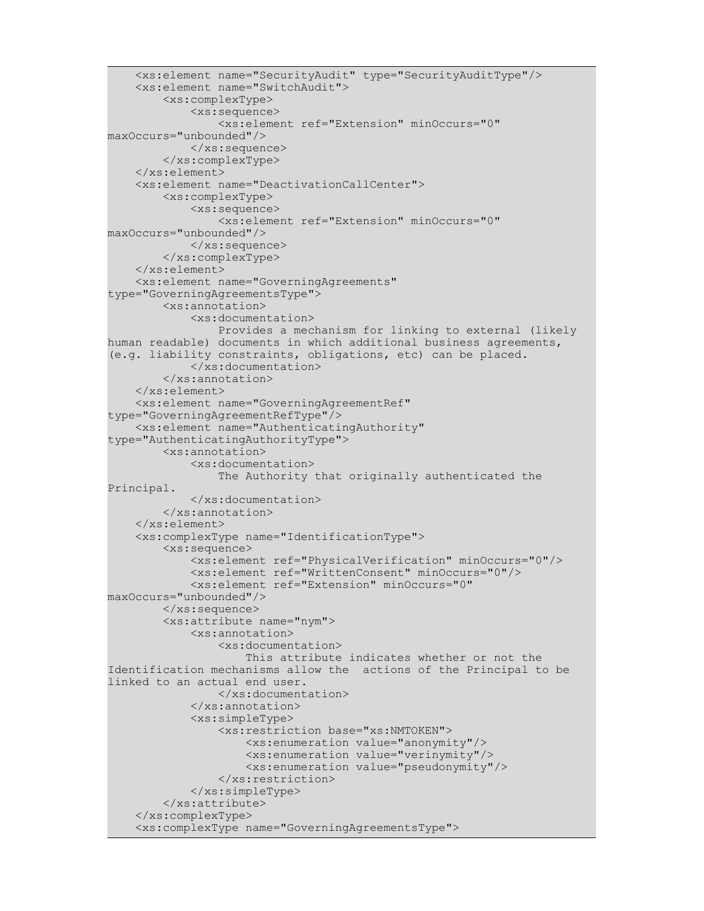```
 <xs:element name="SecurityAudit" type="SecurityAuditType"/>
     <xs:element name="SwitchAudit">
         <xs:complexType>
             <xs:sequence>
                 <xs:element ref="Extension" minOccurs="0"
maxOccurs="unbounded"/>
            \langle xs:sequence \rangle </xs:complexType>
     </xs:element>
     <xs:element name="DeactivationCallCenter">
         <xs:complexType>
             <xs:sequence>
                 <xs:element ref="Extension" minOccurs="0"
maxOccurs="unbounded"/>
             </xs:sequence>
         </xs:complexType>
     </xs:element>
     <xs:element name="GoverningAgreements"
type="GoverningAgreementsType">
         <xs:annotation>
             <xs:documentation>
                 Provides a mechanism for linking to external (likely
human readable) documents in which additional business agreements,
(e.g. liability constraints, obligations, etc) can be placed.
             </xs:documentation>
         </xs:annotation>
     </xs:element>
     <xs:element name="GoverningAgreementRef"
type="GoverningAgreementRefType"/>
     <xs:element name="AuthenticatingAuthority"
type="AuthenticatingAuthorityType">
         <xs:annotation>
             <xs:documentation>
                 The Authority that originally authenticated the
Principal.
             </xs:documentation>
         </xs:annotation>
     </xs:element>
     <xs:complexType name="IdentificationType">
         <xs:sequence>
             <xs:element ref="PhysicalVerification" minOccurs="0"/>
             <xs:element ref="WrittenConsent" minOccurs="0"/>
             <xs:element ref="Extension" minOccurs="0"
maxOccurs="unbounded"/>
         </xs:sequence>
         <xs:attribute name="nym">
             <xs:annotation>
                 <xs:documentation>
                     This attribute indicates whether or not the
Identification mechanisms allow the actions of the Principal to be
linked to an actual end user.
                 </xs:documentation>
             </xs:annotation>
             <xs:simpleType>
                 <xs:restriction base="xs:NMTOKEN">
                     <xs:enumeration value="anonymity"/>
                     <xs:enumeration value="verinymity"/>
                     <xs:enumeration value="pseudonymity"/>
                 </xs:restriction>
             </xs:simpleType>
         </xs:attribute>
     </xs:complexType>
     <xs:complexType name="GoverningAgreementsType">
```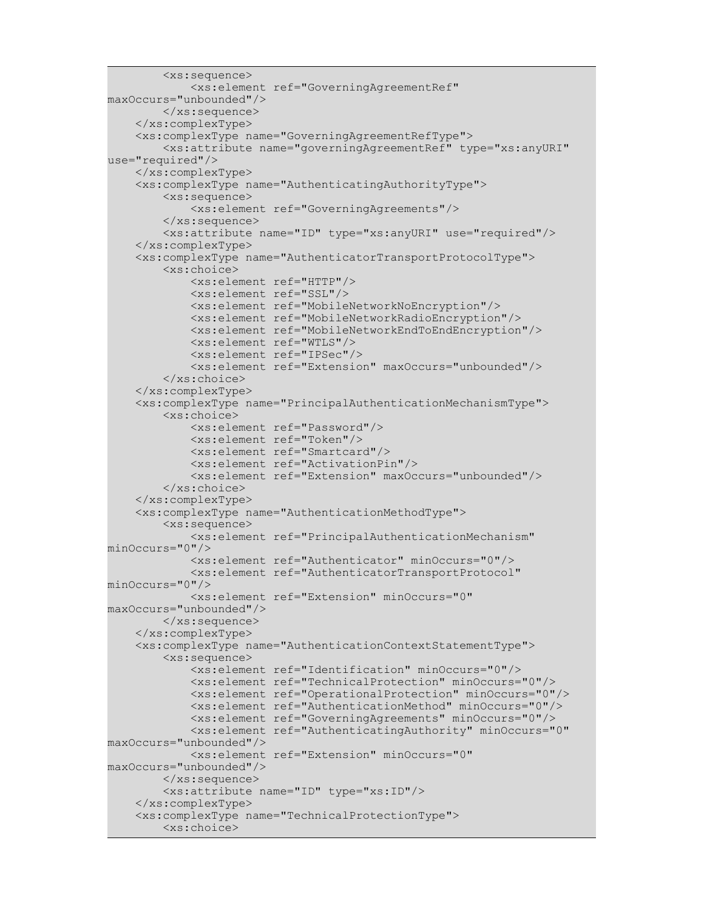```
 <xs:sequence>
             <xs:element ref="GoverningAgreementRef"
maxOccurs="unbounded"/>
         </xs:sequence>
     </xs:complexType>
     <xs:complexType name="GoverningAgreementRefType">
         <xs:attribute name="governingAgreementRef" type="xs:anyURI"
use="required"/>
     </xs:complexType>
     <xs:complexType name="AuthenticatingAuthorityType">
         <xs:sequence>
             <xs:element ref="GoverningAgreements"/>
        \langle xs:sequence \rangle <xs:attribute name="ID" type="xs:anyURI" use="required"/>
     </xs:complexType>
     <xs:complexType name="AuthenticatorTransportProtocolType">
         <xs:choice>
             <xs:element ref="HTTP"/>
             <xs:element ref="SSL"/>
             <xs:element ref="MobileNetworkNoEncryption"/>
             <xs:element ref="MobileNetworkRadioEncryption"/>
             <xs:element ref="MobileNetworkEndToEndEncryption"/>
             <xs:element ref="WTLS"/>
             <xs:element ref="IPSec"/>
             <xs:element ref="Extension" maxOccurs="unbounded"/>
         </xs:choice>
     </xs:complexType>
     <xs:complexType name="PrincipalAuthenticationMechanismType">
         <xs:choice>
             <xs:element ref="Password"/>
             <xs:element ref="Token"/>
             <xs:element ref="Smartcard"/>
             <xs:element ref="ActivationPin"/>
             <xs:element ref="Extension" maxOccurs="unbounded"/>
         </xs:choice>
     </xs:complexType>
     <xs:complexType name="AuthenticationMethodType">
         <xs:sequence>
             <xs:element ref="PrincipalAuthenticationMechanism"
minOccurs="0"/>
             <xs:element ref="Authenticator" minOccurs="0"/>
             <xs:element ref="AuthenticatorTransportProtocol"
minOccurs="0"/>
             <xs:element ref="Extension" minOccurs="0"
maxOccurs="unbounded"/>
         </xs:sequence>
     </xs:complexType>
     <xs:complexType name="AuthenticationContextStatementType">
         <xs:sequence>
             <xs:element ref="Identification" minOccurs="0"/>
             <xs:element ref="TechnicalProtection" minOccurs="0"/>
             <xs:element ref="OperationalProtection" minOccurs="0"/>
             <xs:element ref="AuthenticationMethod" minOccurs="0"/>
             <xs:element ref="GoverningAgreements" minOccurs="0"/>
             <xs:element ref="AuthenticatingAuthority" minOccurs="0"
maxOccurs="unbounded"/>
             <xs:element ref="Extension" minOccurs="0"
maxOccurs="unbounded"/>
         </xs:sequence>
         <xs:attribute name="ID" type="xs:ID"/>
     </xs:complexType>
     <xs:complexType name="TechnicalProtectionType">
         <xs:choice>
```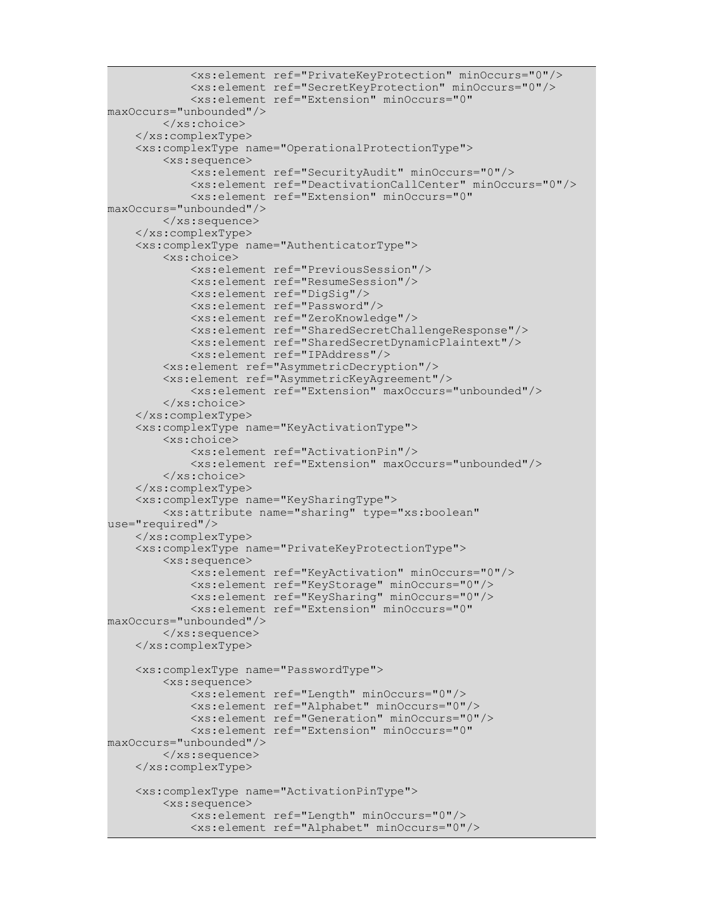```
 <xs:element ref="PrivateKeyProtection" minOccurs="0"/>
             <xs:element ref="SecretKeyProtection" minOccurs="0"/>
             <xs:element ref="Extension" minOccurs="0"
maxOccurs="unbounded"/>
        \langle xs:choice\rangle </xs:complexType>
     <xs:complexType name="OperationalProtectionType">
         <xs:sequence>
             <xs:element ref="SecurityAudit" minOccurs="0"/>
             <xs:element ref="DeactivationCallCenter" minOccurs="0"/>
             <xs:element ref="Extension" minOccurs="0"
maxOccurs="unbounded"/>
         </xs:sequence>
     </xs:complexType>
     <xs:complexType name="AuthenticatorType">
         <xs:choice>
             <xs:element ref="PreviousSession"/>
             <xs:element ref="ResumeSession"/>
             <xs:element ref="DigSig"/>
             <xs:element ref="Password"/>
             <xs:element ref="ZeroKnowledge"/>
             <xs:element ref="SharedSecretChallengeResponse"/>
             <xs:element ref="SharedSecretDynamicPlaintext"/>
             <xs:element ref="IPAddress"/>
         <xs:element ref="AsymmetricDecryption"/>
         <xs:element ref="AsymmetricKeyAgreement"/>
             <xs:element ref="Extension" maxOccurs="unbounded"/>
         </xs:choice>
     </xs:complexType>
     <xs:complexType name="KeyActivationType">
         <xs:choice>
             <xs:element ref="ActivationPin"/>
             <xs:element ref="Extension" maxOccurs="unbounded"/>
         </xs:choice>
     </xs:complexType>
     <xs:complexType name="KeySharingType">
         <xs:attribute name="sharing" type="xs:boolean"
use="required"/>
     </xs:complexType>
     <xs:complexType name="PrivateKeyProtectionType">
         <xs:sequence>
             <xs:element ref="KeyActivation" minOccurs="0"/>
             <xs:element ref="KeyStorage" minOccurs="0"/>
             <xs:element ref="KeySharing" minOccurs="0"/>
             <xs:element ref="Extension" minOccurs="0"
maxOccurs="unbounded"/>
         </xs:sequence>
     </xs:complexType>
     <xs:complexType name="PasswordType">
         <xs:sequence>
             <xs:element ref="Length" minOccurs="0"/>
             <xs:element ref="Alphabet" minOccurs="0"/>
             <xs:element ref="Generation" minOccurs="0"/>
             <xs:element ref="Extension" minOccurs="0"
maxOccurs="unbounded"/>
         </xs:sequence>
     </xs:complexType>
     <xs:complexType name="ActivationPinType">
         <xs:sequence>
             <xs:element ref="Length" minOccurs="0"/>
             <xs:element ref="Alphabet" minOccurs="0"/>
```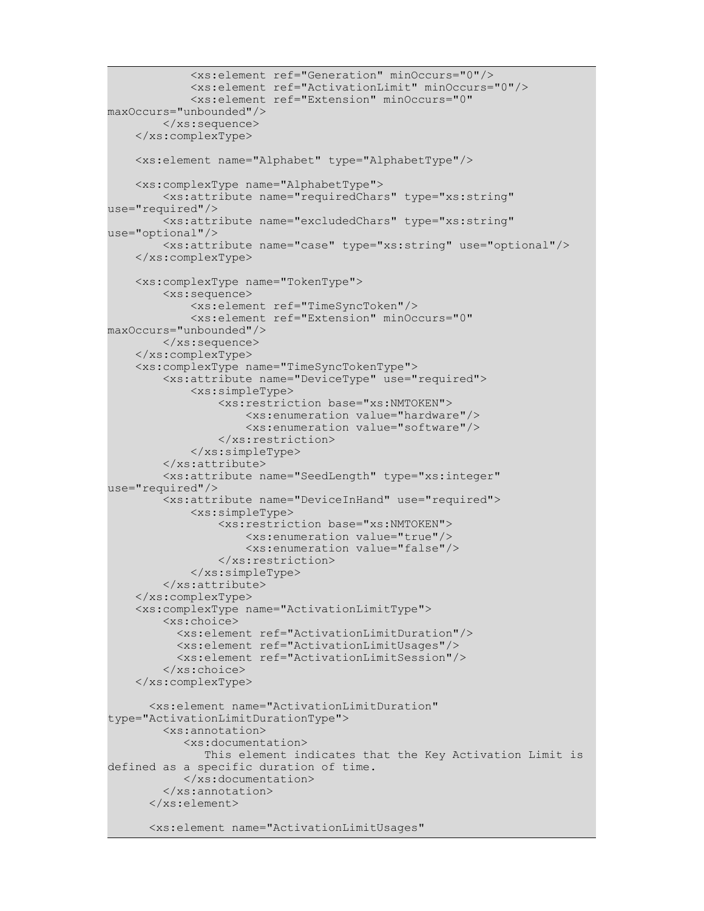```
 <xs:element ref="Generation" minOccurs="0"/>
             <xs:element ref="ActivationLimit" minOccurs="0"/>
             <xs:element ref="Extension" minOccurs="0"
maxOccurs="unbounded"/>
        \langle xs:sequence \rangle </xs:complexType>
     <xs:element name="Alphabet" type="AlphabetType"/>
     <xs:complexType name="AlphabetType">
         <xs:attribute name="requiredChars" type="xs:string"
use="required"/>
         <xs:attribute name="excludedChars" type="xs:string"
use="optional"/>
         <xs:attribute name="case" type="xs:string" use="optional"/>
     </xs:complexType>
     <xs:complexType name="TokenType">
         <xs:sequence>
             <xs:element ref="TimeSyncToken"/>
             <xs:element ref="Extension" minOccurs="0"
maxOccurs="unbounded"/>
         </xs:sequence>
     </xs:complexType>
     <xs:complexType name="TimeSyncTokenType">
         <xs:attribute name="DeviceType" use="required">
             <xs:simpleType>
                 <xs:restriction base="xs:NMTOKEN">
                     <xs:enumeration value="hardware"/>
                     <xs:enumeration value="software"/>
                 </xs:restriction>
             </xs:simpleType>
         </xs:attribute>
         <xs:attribute name="SeedLength" type="xs:integer"
use="required"/>
         <xs:attribute name="DeviceInHand" use="required">
             <xs:simpleType>
                 <xs:restriction base="xs:NMTOKEN">
                     <xs:enumeration value="true"/>
                     <xs:enumeration value="false"/>
                 </xs:restriction>
             </xs:simpleType>
         </xs:attribute>
     </xs:complexType>
     <xs:complexType name="ActivationLimitType">
         <xs:choice>
           <xs:element ref="ActivationLimitDuration"/>
           <xs:element ref="ActivationLimitUsages"/>
           <xs:element ref="ActivationLimitSession"/>
         </xs:choice>
     </xs:complexType>
       <xs:element name="ActivationLimitDuration"
type="ActivationLimitDurationType">
         <xs:annotation>
            <xs:documentation>
               This element indicates that the Key Activation Limit is
defined as a specific duration of time. 
            </xs:documentation>
         </xs:annotation>
       </xs:element>
       <xs:element name="ActivationLimitUsages"
```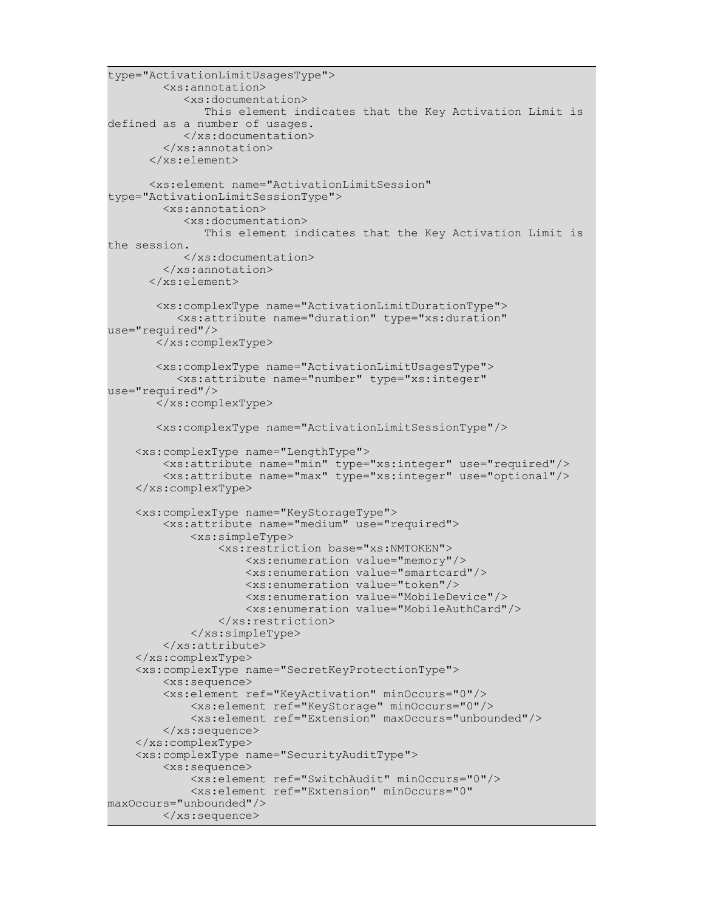```
type="ActivationLimitUsagesType">
         <xs:annotation>
            <xs:documentation>
               This element indicates that the Key Activation Limit is
defined as a number of usages. 
            </xs:documentation>
         </xs:annotation>
       </xs:element>
       <xs:element name="ActivationLimitSession"
type="ActivationLimitSessionType">
         <xs:annotation>
            <xs:documentation>
               This element indicates that the Key Activation Limit is
the session. 
            </xs:documentation>
         </xs:annotation>
       </xs:element>
        <xs:complexType name="ActivationLimitDurationType">
           <xs:attribute name="duration" type="xs:duration"
use="required"/>
        </xs:complexType>
        <xs:complexType name="ActivationLimitUsagesType">
           <xs:attribute name="number" type="xs:integer"
use="required"/>
        </xs:complexType>
        <xs:complexType name="ActivationLimitSessionType"/>
     <xs:complexType name="LengthType">
         <xs:attribute name="min" type="xs:integer" use="required"/>
         <xs:attribute name="max" type="xs:integer" use="optional"/>
     </xs:complexType>
     <xs:complexType name="KeyStorageType">
         <xs:attribute name="medium" use="required">
             <xs:simpleType>
                 <xs:restriction base="xs:NMTOKEN">
                     <xs:enumeration value="memory"/>
                     <xs:enumeration value="smartcard"/>
                     <xs:enumeration value="token"/>
                     <xs:enumeration value="MobileDevice"/>
                      <xs:enumeration value="MobileAuthCard"/>
                 </xs:restriction>
             </xs:simpleType>
         </xs:attribute>
     </xs:complexType>
     <xs:complexType name="SecretKeyProtectionType">
         <xs:sequence>
         <xs:element ref="KeyActivation" minOccurs="0"/>
             <xs:element ref="KeyStorage" minOccurs="0"/>
             <xs:element ref="Extension" maxOccurs="unbounded"/>
        \langle xs:sequence \rangle </xs:complexType>
     <xs:complexType name="SecurityAuditType">
         <xs:sequence>
             <xs:element ref="SwitchAudit" minOccurs="0"/>
             <xs:element ref="Extension" minOccurs="0"
maxOccurs="unbounded"/>
         </xs:sequence>
```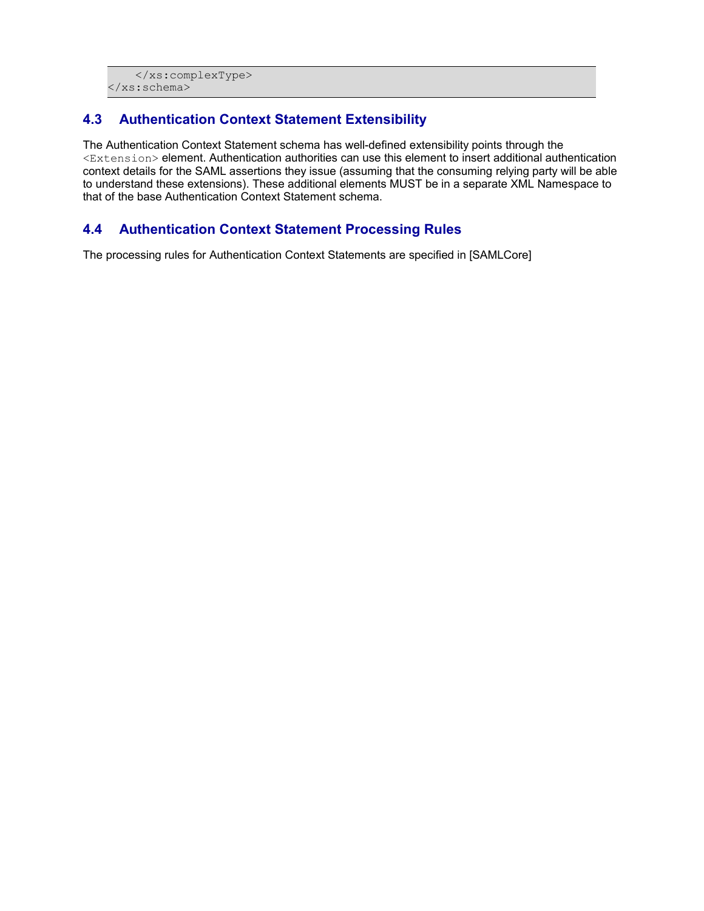```
 </xs:complexType>
</xs:schema>
```
#### **4.3 Authentication Context Statement Extensibility**

The Authentication Context Statement schema has well-defined extensibility points through the <Extension> element. Authentication authorities can use this element to insert additional authentication context details for the SAML assertions they issue (assuming that the consuming relying party will be able to understand these extensions). These additional elements MUST be in a separate XML Namespace to that of the base Authentication Context Statement schema.

#### **4.4 Authentication Context Statement Processing Rules**

The processing rules for Authentication Context Statements are specified in [SAMLCore]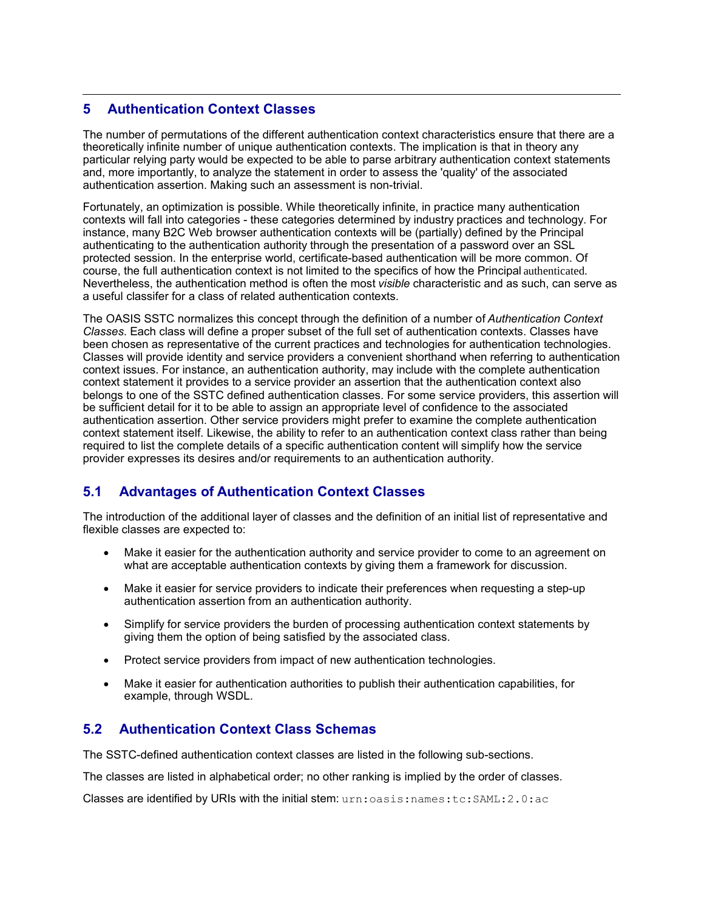#### **5 Authentication Context Classes**

The number of permutations of the different authentication context characteristics ensure that there are a theoretically infinite number of unique authentication contexts. The implication is that in theory any particular relying party would be expected to be able to parse arbitrary authentication context statements and, more importantly, to analyze the statement in order to assess the 'quality' of the associated authentication assertion. Making such an assessment is non-trivial.

Fortunately, an optimization is possible. While theoretically infinite, in practice many authentication contexts will fall into categories - these categories determined by industry practices and technology. For instance, many B2C Web browser authentication contexts will be (partially) defined by the Principal authenticating to the authentication authority through the presentation of a password over an SSL protected session. In the enterprise world, certificate-based authentication will be more common. Of course, the full authentication context is not limited to the specifics of how the Principal authenticated. Nevertheless, the authentication method is often the most *visible* characteristic and as such, can serve as a useful classifer for a class of related authentication contexts.

The OASIS SSTC normalizes this concept through the definition of a number of *Authentication Context Classes*. Each class will define a proper subset of the full set of authentication contexts. Classes have been chosen as representative of the current practices and technologies for authentication technologies. Classes will provide identity and service providers a convenient shorthand when referring to authentication context issues. For instance, an authentication authority, may include with the complete authentication context statement it provides to a service provider an assertion that the authentication context also belongs to one of the SSTC defined authentication classes. For some service providers, this assertion will be sufficient detail for it to be able to assign an appropriate level of confidence to the associated authentication assertion. Other service providers might prefer to examine the complete authentication context statement itself. Likewise, the ability to refer to an authentication context class rather than being required to list the complete details of a specific authentication content will simplify how the service provider expresses its desires and/or requirements to an authentication authority.

#### **5.1 Advantages of Authentication Context Classes**

The introduction of the additional layer of classes and the definition of an initial list of representative and flexible classes are expected to:

- Make it easier for the authentication authority and service provider to come to an agreement on what are acceptable authentication contexts by giving them a framework for discussion.
- Make it easier for service providers to indicate their preferences when requesting a step-up authentication assertion from an authentication authority.
- Simplify for service providers the burden of processing authentication context statements by giving them the option of being satisfied by the associated class.
- Protect service providers from impact of new authentication technologies.
- Make it easier for authentication authorities to publish their authentication capabilities, for example, through WSDL.

#### **5.2 Authentication Context Class Schemas**

The SSTC-defined authentication context classes are listed in the following sub-sections.

The classes are listed in alphabetical order; no other ranking is implied by the order of classes.

Classes are identified by URIs with the initial stem: urn:oasis:names:tc:SAML:2.0:ac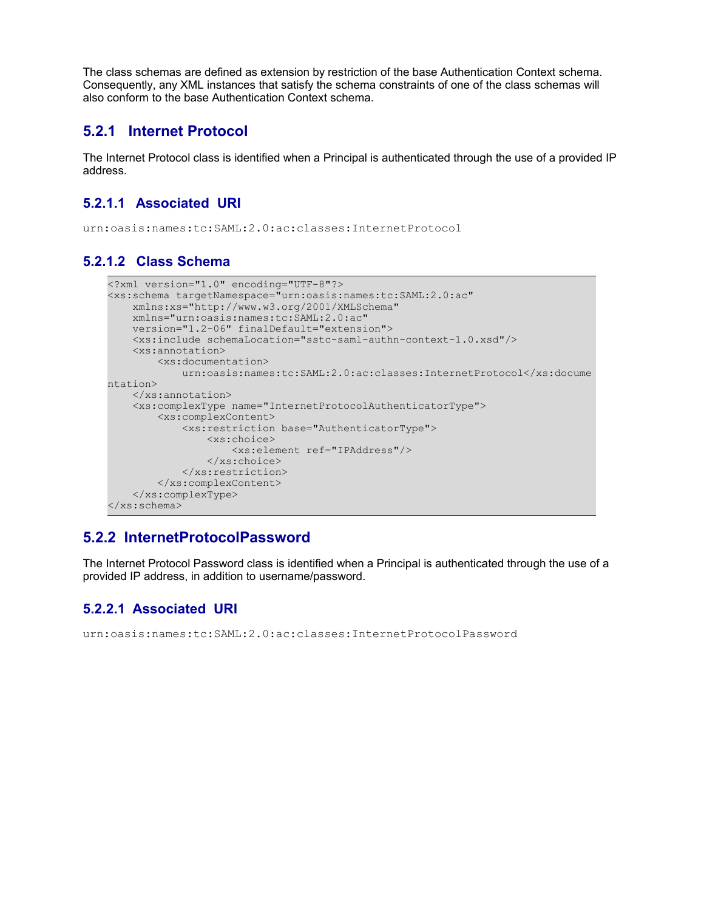The class schemas are defined as extension by restriction of the base Authentication Context schema. Consequently, any XML instances that satisfy the schema constraints of one of the class schemas will also conform to the base Authentication Context schema.

#### **5.2.1 Internet Protocol**

The Internet Protocol class is identified when a Principal is authenticated through the use of a provided IP address.

#### **5.2.1.1 Associated URI**

urn:oasis:names:tc:SAML:2.0:ac:classes:InternetProtocol

#### **5.2.1.2 Class Schema**

```
<?xml version="1.0" encoding="UTF-8"?>
<xs:schema targetNamespace="urn:oasis:names:tc:SAML:2.0:ac" 
    xmlns:xs="http://www.w3.org/2001/XMLSchema" 
    xmlns="urn:oasis:names:tc:SAML:2.0:ac" 
    version="1.2-06" finalDefault="extension">
     <xs:include schemaLocation="sstc-saml-authn-context-1.0.xsd"/>
     <xs:annotation>
         <xs:documentation> 
             urn:oasis:names:tc:SAML:2.0:ac:classes:InternetProtocol</xs:docume
ntation>
     </xs:annotation>
     <xs:complexType name="InternetProtocolAuthenticatorType">
         <xs:complexContent>
             <xs:restriction base="AuthenticatorType">
                 <xs:choice>
                     <xs:element ref="IPAddress"/>
                 </xs:choice>
             </xs:restriction>
         </xs:complexContent>
     </xs:complexType>
</xs:schema>
```
#### **5.2.2 InternetProtocolPassword**

The Internet Protocol Password class is identified when a Principal is authenticated through the use of a provided IP address, in addition to username/password.

#### **5.2.2.1 Associated URI**

urn:oasis:names:tc:SAML:2.0:ac:classes:InternetProtocolPassword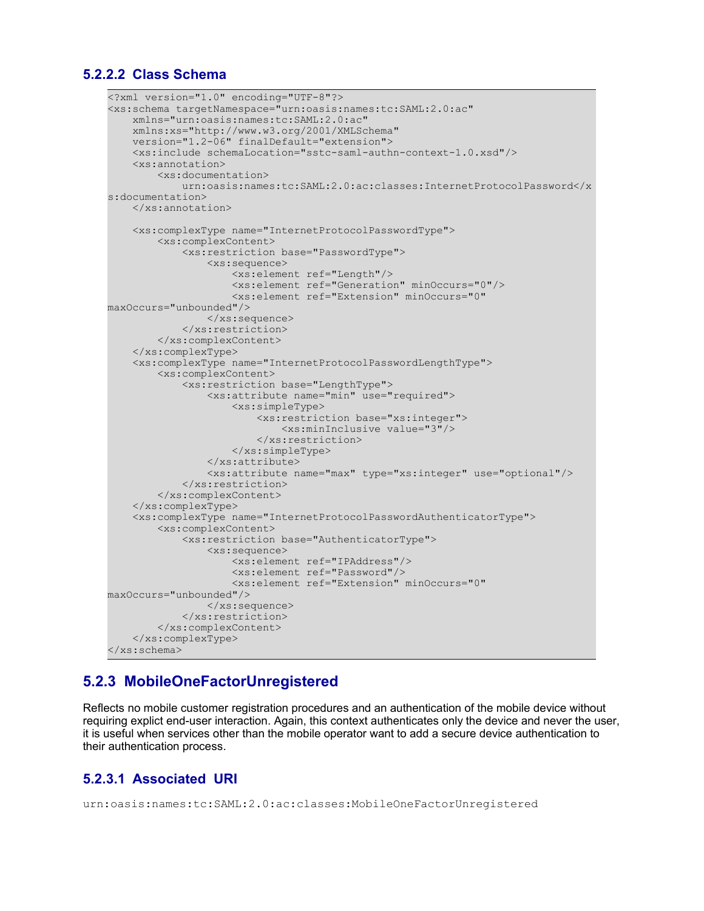#### **5.2.2.2 Class Schema**

```
<?xml version="1.0" encoding="UTF-8"?>
<xs:schema targetNamespace="urn:oasis:names:tc:SAML:2.0:ac" 
     xmlns="urn:oasis:names:tc:SAML:2.0:ac" 
     xmlns:xs="http://www.w3.org/2001/XMLSchema" 
     version="1.2-06" finalDefault="extension">
     <xs:include schemaLocation="sstc-saml-authn-context-1.0.xsd"/>
     <xs:annotation>
         <xs:documentation> 
             urn:oasis:names:tc:SAML:2.0:ac:classes:InternetProtocolPassword</x
s:documentation>
     </xs:annotation>
     <xs:complexType name="InternetProtocolPasswordType">
         <xs:complexContent>
             <xs:restriction base="PasswordType">
                 <xs:sequence>
                     <xs:element ref="Length"/>
                      <xs:element ref="Generation" minOccurs="0"/>
                      <xs:element ref="Extension" minOccurs="0"
maxOccurs="unbounded"/>
                \langle xs:sequence \rangle </xs:restriction>
         </xs:complexContent>
     </xs:complexType>
     <xs:complexType name="InternetProtocolPasswordLengthType">
         <xs:complexContent>
             <xs:restriction base="LengthType">
                 <xs:attribute name="min" use="required">
                      <xs:simpleType>
                          <xs:restriction base="xs:integer">
                              <xs:minInclusive value="3"/>
                          </xs:restriction>
                      </xs:simpleType>
                 </xs:attribute>
                  <xs:attribute name="max" type="xs:integer" use="optional"/>
             </xs:restriction>
         </xs:complexContent>
     </xs:complexType>
     <xs:complexType name="InternetProtocolPasswordAuthenticatorType">
         <xs:complexContent>
             <xs:restriction base="AuthenticatorType">
                 <xs:sequence>
                      <xs:element ref="IPAddress"/>
                     <xs:element ref="Password"/>
                      <xs:element ref="Extension" minOccurs="0"
maxOccurs="unbounded"/>
                 </xs:sequence>
             </xs:restriction>
         </xs:complexContent>
     </xs:complexType>
</xs:schema>
```
#### **5.2.3 MobileOneFactorUnregistered**

Reflects no mobile customer registration procedures and an authentication of the mobile device without requiring explict end-user interaction. Again, this context authenticates only the device and never the user, it is useful when services other than the mobile operator want to add a secure device authentication to their authentication process.

#### **5.2.3.1 Associated URI**

```
urn:oasis:names:tc:SAML:2.0:ac:classes:MobileOneFactorUnregistered
```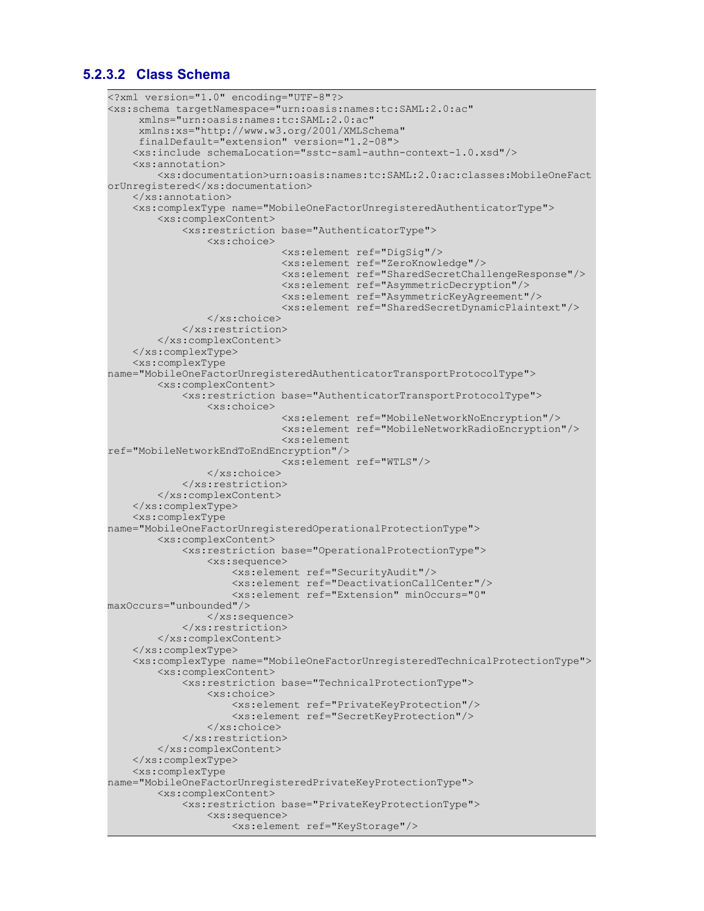#### **5.2.3.2 Class Schema**

```
<?xml version="1.0" encoding="UTF-8"?>
<xs:schema targetNamespace="urn:oasis:names:tc:SAML:2.0:ac" 
      xmlns="urn:oasis:names:tc:SAML:2.0:ac"
      xmlns:xs="http://www.w3.org/2001/XMLSchema"
      finalDefault="extension" version="1.2-08">
     <xs:include schemaLocation="sstc-saml-authn-context-1.0.xsd"/>
     <xs:annotation>
         <xs:documentation>urn:oasis:names:tc:SAML:2.0:ac:classes:MobileOneFact
orUnregistered</xs:documentation>
     </xs:annotation>
     <xs:complexType name="MobileOneFactorUnregisteredAuthenticatorType">
         <xs:complexContent>
             <xs:restriction base="AuthenticatorType">
                 <xs:choice>
                              <xs:element ref="DigSig"/>
                              <xs:element ref="ZeroKnowledge"/>
                              <xs:element ref="SharedSecretChallengeResponse"/>
                              <xs:element ref="AsymmetricDecryption"/>
                              <xs:element ref="AsymmetricKeyAgreement"/>
                              <xs:element ref="SharedSecretDynamicPlaintext"/>
                 </xs:choice>
             </xs:restriction>
         </xs:complexContent>
     </xs:complexType>
     <xs:complexType
name="MobileOneFactorUnregisteredAuthenticatorTransportProtocolType">
         <xs:complexContent>
             <xs:restriction base="AuthenticatorTransportProtocolType">
                 <xs:choice>
                              <xs:element ref="MobileNetworkNoEncryption"/>
                              <xs:element ref="MobileNetworkRadioEncryption"/>
                              <xs:element
ref="MobileNetworkEndToEndEncryption"/>
                              <xs:element ref="WTLS"/>
                 </xs:choice>
             </xs:restriction>
         </xs:complexContent>
     </xs:complexType>
     <xs:complexType
name="MobileOneFactorUnregisteredOperationalProtectionType">
         <xs:complexContent>
             <xs:restriction base="OperationalProtectionType">
                 <xs:sequence>
                     <xs:element ref="SecurityAudit"/>
                     <xs:element ref="DeactivationCallCenter"/>
                     <xs:element ref="Extension" minOccurs="0"
maxOccurs="unbounded"/>
                 </xs:sequence>
             </xs:restriction>
         </xs:complexContent>
     </xs:complexType>
     <xs:complexType name="MobileOneFactorUnregisteredTechnicalProtectionType">
         <xs:complexContent>
             <xs:restriction base="TechnicalProtectionType">
                 <xs:choice>
                     <xs:element ref="PrivateKeyProtection"/>
                     <xs:element ref="SecretKeyProtection"/>
                 </xs:choice>
             </xs:restriction>
         </xs:complexContent>
     </xs:complexType>
     <xs:complexType
name="MobileOneFactorUnregisteredPrivateKeyProtectionType">
         <xs:complexContent>
             <xs:restriction base="PrivateKeyProtectionType">
                 <xs:sequence>
                     <xs:element ref="KeyStorage"/>
```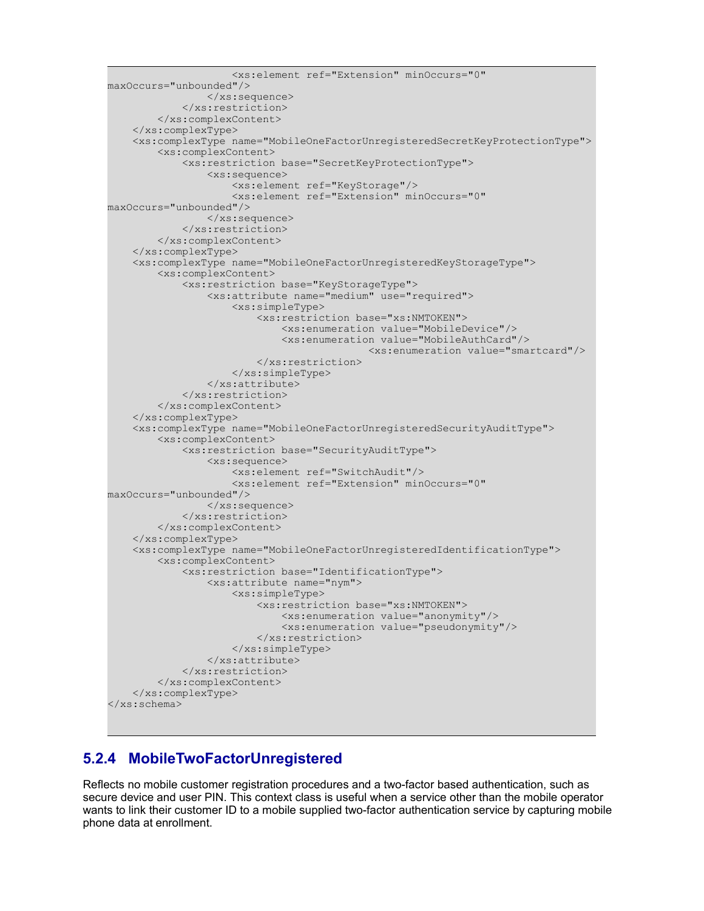```
 <xs:element ref="Extension" minOccurs="0"
maxOccurs="unbounded"/>
                 </xs:sequence>
             </xs:restriction>
         </xs:complexContent>
     </xs:complexType>
     <xs:complexType name="MobileOneFactorUnregisteredSecretKeyProtectionType">
         <xs:complexContent>
             <xs:restriction base="SecretKeyProtectionType">
                  <xs:sequence>
                      <xs:element ref="KeyStorage"/>
                      <xs:element ref="Extension" minOccurs="0"
maxOccurs="unbounded"/>
                 </xs:sequence>
             </xs:restriction>
         </xs:complexContent>
     </xs:complexType>
     <xs:complexType name="MobileOneFactorUnregisteredKeyStorageType">
         <xs:complexContent>
             <xs:restriction base="KeyStorageType">
                  <xs:attribute name="medium" use="required">
                      <xs:simpleType>
                          <xs:restriction base="xs:NMTOKEN">
                              <xs:enumeration value="MobileDevice"/>
                              <xs:enumeration value="MobileAuthCard"/>
                                             <xs:enumeration value="smartcard"/>
                          </xs:restriction>
                      </xs:simpleType>
                 </xs:attribute>
             </xs:restriction>
         </xs:complexContent>
     </xs:complexType>
     <xs:complexType name="MobileOneFactorUnregisteredSecurityAuditType">
         <xs:complexContent>
             <xs:restriction base="SecurityAuditType">
                  <xs:sequence>
                      <xs:element ref="SwitchAudit"/>
                      <xs:element ref="Extension" minOccurs="0"
maxOccurs="unbounded"/>
                 </xs:sequence>
             </xs:restriction>
         </xs:complexContent>
     </xs:complexType>
     <xs:complexType name="MobileOneFactorUnregisteredIdentificationType">
         <xs:complexContent>
             <xs:restriction base="IdentificationType">
                 <xs:attribute name="nym">
                      <xs:simpleType>
                          <xs:restriction base="xs:NMTOKEN">
                              <xs:enumeration value="anonymity"/>
                              <xs:enumeration value="pseudonymity"/>
                          </xs:restriction>
                      </xs:simpleType>
                 </xs:attribute>
             </xs:restriction>
         </xs:complexContent>
     </xs:complexType>
</xs:schema>
```
#### **5.2.4 MobileTwoFactorUnregistered**

Reflects no mobile customer registration procedures and a two-factor based authentication, such as secure device and user PIN. This context class is useful when a service other than the mobile operator wants to link their customer ID to a mobile supplied two-factor authentication service by capturing mobile phone data at enrollment.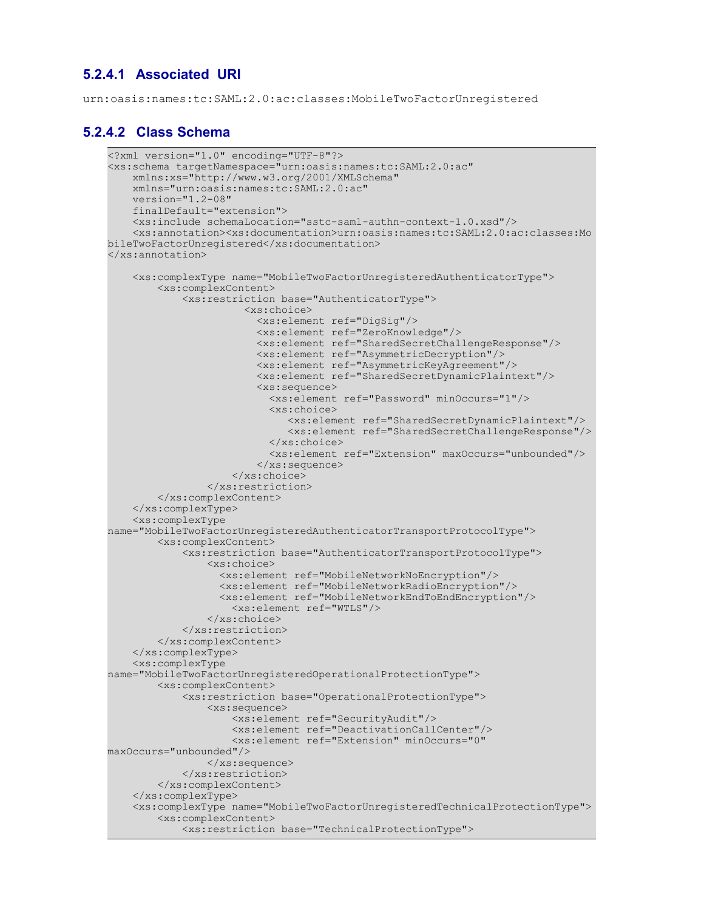#### **5.2.4.1 Associated URI**

urn:oasis:names:tc:SAML:2.0:ac:classes:MobileTwoFactorUnregistered

#### **5.2.4.2 Class Schema**

```
<?xml version="1.0" encoding="UTF-8"?>
<xs:schema targetNamespace="urn:oasis:names:tc:SAML:2.0:ac" 
     xmlns:xs="http://www.w3.org/2001/XMLSchema" 
     xmlns="urn:oasis:names:tc:SAML:2.0:ac" 
     version="1.2-08" 
     finalDefault="extension">
     <xs:include schemaLocation="sstc-saml-authn-context-1.0.xsd"/>
     <xs:annotation><xs:documentation>urn:oasis:names:tc:SAML:2.0:ac:classes:Mo
bileTwoFactorUnregistered</xs:documentation>
</xs:annotation>
     <xs:complexType name="MobileTwoFactorUnregisteredAuthenticatorType">
         <xs:complexContent>
             <xs:restriction base="AuthenticatorType">
                        <xs:choice>
                          <xs:element ref="DigSig"/>
                          <xs:element ref="ZeroKnowledge"/>
                          <xs:element ref="SharedSecretChallengeResponse"/>
                          <xs:element ref="AsymmetricDecryption"/>
                          <xs:element ref="AsymmetricKeyAgreement"/>
                          <xs:element ref="SharedSecretDynamicPlaintext"/>
                          <xs:sequence>
                            <xs:element ref="Password" minOccurs="1"/>
                            <xs:choice>
                               <xs:element ref="SharedSecretDynamicPlaintext"/>
                               <xs:element ref="SharedSecretChallengeResponse"/>
                            </xs:choice>
                            <xs:element ref="Extension" maxOccurs="unbounded"/>
                          </xs:sequence>
                     </xs:choice>
                 </xs:restriction>
         </xs:complexContent>
     </xs:complexType>
     <xs:complexType
name="MobileTwoFactorUnregisteredAuthenticatorTransportProtocolType">
         <xs:complexContent>
             <xs:restriction base="AuthenticatorTransportProtocolType">
                 <xs:choice>
                   <xs:element ref="MobileNetworkNoEncryption"/>
                   <xs:element ref="MobileNetworkRadioEncryption"/>
                   <xs:element ref="MobileNetworkEndToEndEncryption"/>
                     <xs:element ref="WTLS"/>
                 </xs:choice>
             </xs:restriction>
         </xs:complexContent>
     </xs:complexType>
     <xs:complexType
name="MobileTwoFactorUnregisteredOperationalProtectionType">
         <xs:complexContent>
             <xs:restriction base="OperationalProtectionType">
                 <xs:sequence>
                     <xs:element ref="SecurityAudit"/>
                     <xs:element ref="DeactivationCallCenter"/>
                     <xs:element ref="Extension" minOccurs="0"
maxOccurs="unbounded"/>
                 </xs:sequence>
             </xs:restriction>
         </xs:complexContent>
     </xs:complexType>
     <xs:complexType name="MobileTwoFactorUnregisteredTechnicalProtectionType">
         <xs:complexContent>
             <xs:restriction base="TechnicalProtectionType">
```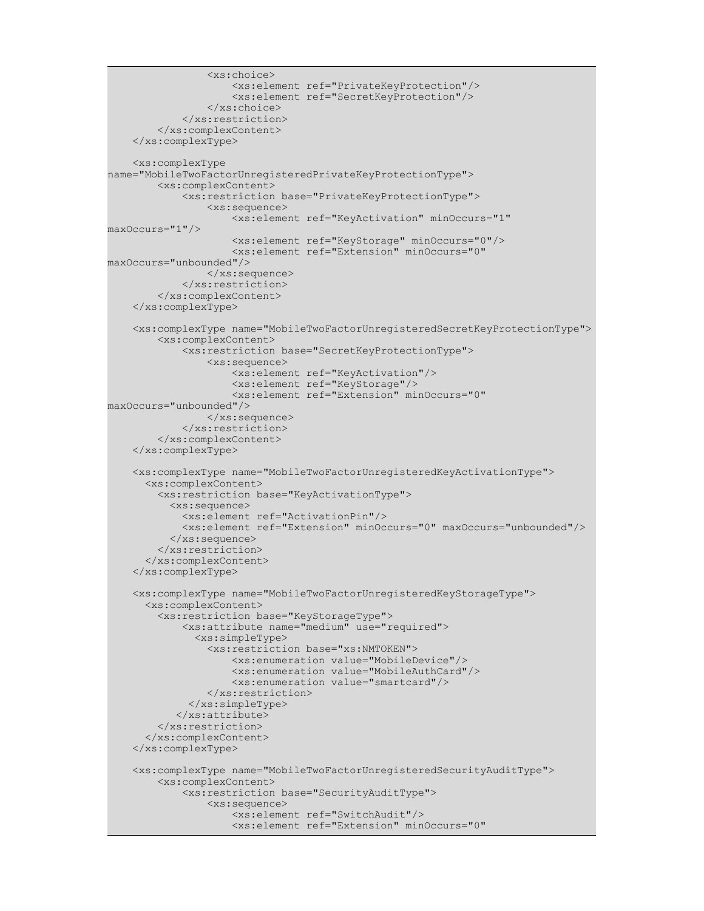```
 <xs:choice>
                      <xs:element ref="PrivateKeyProtection"/>
                      <xs:element ref="SecretKeyProtection"/>
                 </xs:choice>
             </xs:restriction>
         </xs:complexContent>
     </xs:complexType>
     <xs:complexType
name="MobileTwoFactorUnregisteredPrivateKeyProtectionType">
         <xs:complexContent>
             <xs:restriction base="PrivateKeyProtectionType">
                 <xs:sequence>
                     <xs:element ref="KeyActivation" minOccurs="1"
maxOccurs="1"/>
                     <xs:element ref="KeyStorage" minOccurs="0"/>
                     <xs:element ref="Extension" minOccurs="0"
maxOccurs="unbounded"/>
                 </xs:sequence>
             </xs:restriction>
         </xs:complexContent>
     </xs:complexType>
     <xs:complexType name="MobileTwoFactorUnregisteredSecretKeyProtectionType">
         <xs:complexContent>
             <xs:restriction base="SecretKeyProtectionType">
                 <xs:sequence>
                     <xs:element ref="KeyActivation"/>
                     <xs:element ref="KeyStorage"/>
                      <xs:element ref="Extension" minOccurs="0"
maxOccurs="unbounded"/>
                 </xs:sequence>
             </xs:restriction>
         </xs:complexContent>
     </xs:complexType>
     <xs:complexType name="MobileTwoFactorUnregisteredKeyActivationType">
       <xs:complexContent> 
         <xs:restriction base="KeyActivationType">
           <xs:sequence>
             <xs:element ref="ActivationPin"/>
             <xs:element ref="Extension" minOccurs="0" maxOccurs="unbounded"/>
           </xs:sequence>
         </xs:restriction>
       </xs:complexContent>
     </xs:complexType>
     <xs:complexType name="MobileTwoFactorUnregisteredKeyStorageType">
       <xs:complexContent> 
         <xs:restriction base="KeyStorageType"> 
             <xs:attribute name="medium" use="required">
               <xs:simpleType>
                 <xs:restriction base="xs:NMTOKEN">
                      <xs:enumeration value="MobileDevice"/>
                      <xs:enumeration value="MobileAuthCard"/>
                     <xs:enumeration value="smartcard"/>
                 </xs:restriction>
              </xs:simpleType>
            </xs:attribute>
         </xs:restriction>
       </xs:complexContent>
     </xs:complexType>
     <xs:complexType name="MobileTwoFactorUnregisteredSecurityAuditType">
         <xs:complexContent>
             <xs:restriction base="SecurityAuditType">
                 <xs:sequence>
                     <xs:element ref="SwitchAudit"/>
                      <xs:element ref="Extension" minOccurs="0"
```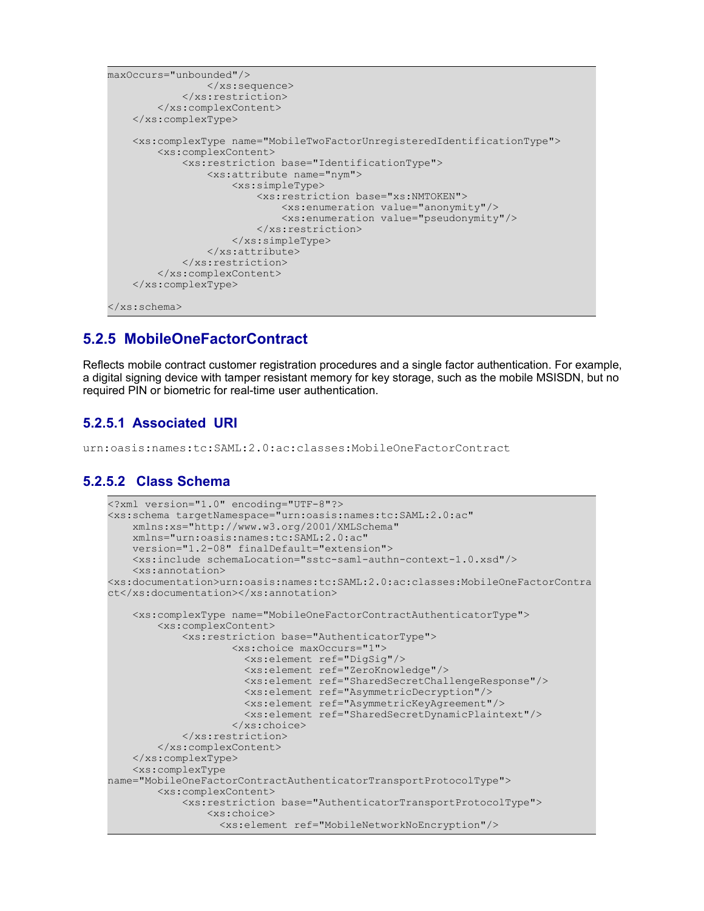```
maxOccurs="unbounded"/>
                 \langle xs:sequence \rangle </xs:restriction>
         </xs:complexContent>
     </xs:complexType>
     <xs:complexType name="MobileTwoFactorUnregisteredIdentificationType">
         <xs:complexContent>
              <xs:restriction base="IdentificationType">
                  <xs:attribute name="nym">
                      <xs:simpleType>
                           <xs:restriction base="xs:NMTOKEN">
                               <xs:enumeration value="anonymity"/>
                               <xs:enumeration value="pseudonymity"/>
                           </xs:restriction>
                      </xs:simpleType>
                  </xs:attribute>
              </xs:restriction>
         </xs:complexContent>
     </xs:complexType>
</xs:schema>
```
#### **5.2.5 MobileOneFactorContract**

Reflects mobile contract customer registration procedures and a single factor authentication. For example, a digital signing device with tamper resistant memory for key storage, such as the mobile MSISDN, but no required PIN or biometric for real-time user authentication.

#### **5.2.5.1 Associated URI**

urn:oasis:names:tc:SAML:2.0:ac:classes:MobileOneFactorContract

#### **5.2.5.2 Class Schema**

```
<?xml version="1.0" encoding="UTF-8"?>
<xs:schema targetNamespace="urn:oasis:names:tc:SAML:2.0:ac" 
    xmlns:xs="http://www.w3.org/2001/XMLSchema" 
    xmlns="urn:oasis:names:tc:SAML:2.0:ac" 
    version="1.2-08" finalDefault="extension">
     <xs:include schemaLocation="sstc-saml-authn-context-1.0.xsd"/>
     <xs:annotation>
<xs:documentation>urn:oasis:names:tc:SAML:2.0:ac:classes:MobileOneFactorContra
ct</xs:documentation></xs:annotation>
     <xs:complexType name="MobileOneFactorContractAuthenticatorType">
         <xs:complexContent>
             <xs:restriction base="AuthenticatorType">
                     <xs:choice maxOccurs="1">
                       <xs:element ref="DigSig"/>
                       <xs:element ref="ZeroKnowledge"/>
                       <xs:element ref="SharedSecretChallengeResponse"/>
                       <xs:element ref="AsymmetricDecryption"/>
                       <xs:element ref="AsymmetricKeyAgreement"/>
                       <xs:element ref="SharedSecretDynamicPlaintext"/>
                     </xs:choice>
             </xs:restriction>
         </xs:complexContent>
     </xs:complexType>
     <xs:complexType
name="MobileOneFactorContractAuthenticatorTransportProtocolType">
         <xs:complexContent>
             <xs:restriction base="AuthenticatorTransportProtocolType">
                 <xs:choice>
                   <xs:element ref="MobileNetworkNoEncryption"/>
```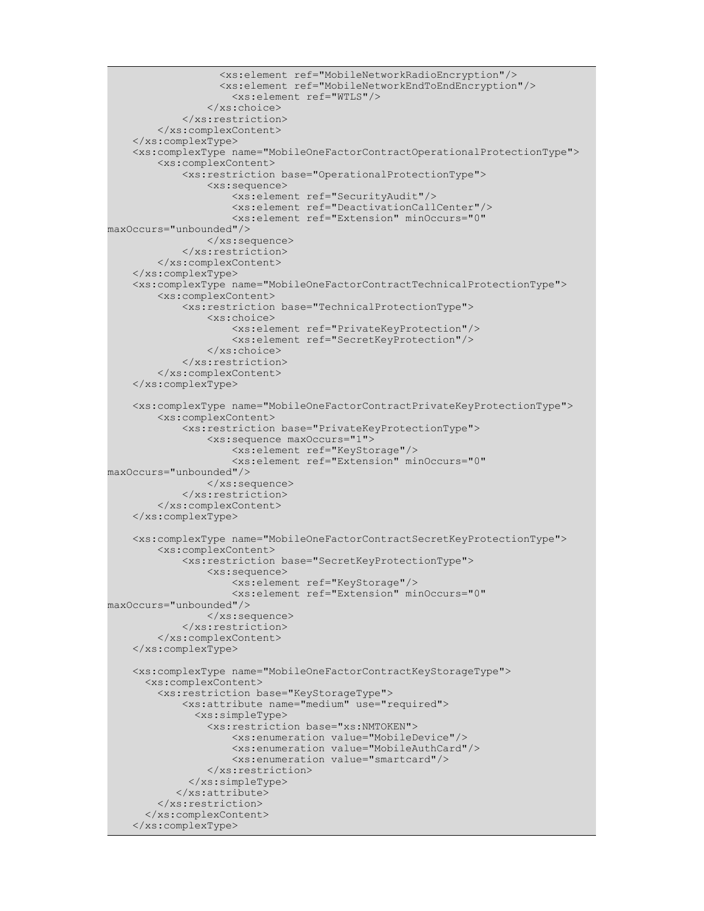```
 <xs:element ref="MobileNetworkRadioEncryption"/>
                    <xs:element ref="MobileNetworkEndToEndEncryption"/>
                      <xs:element ref="WTLS"/>
                 </xs:choice>
             </xs:restriction>
         </xs:complexContent>
     </xs:complexType>
     <xs:complexType name="MobileOneFactorContractOperationalProtectionType">
         <xs:complexContent>
             <xs:restriction base="OperationalProtectionType">
                  <xs:sequence>
                      <xs:element ref="SecurityAudit"/>
                      <xs:element ref="DeactivationCallCenter"/>
                      <xs:element ref="Extension" minOccurs="0"
maxOccurs="unbounded"/>
                 </xs:sequence>
             </xs:restriction>
         </xs:complexContent>
     </xs:complexType>
     <xs:complexType name="MobileOneFactorContractTechnicalProtectionType">
         <xs:complexContent>
             <xs:restriction base="TechnicalProtectionType">
                 <xs:choice>
                      <xs:element ref="PrivateKeyProtection"/>
                      <xs:element ref="SecretKeyProtection"/>
                 </xs:choice>
             </xs:restriction>
         </xs:complexContent>
     </xs:complexType>
     <xs:complexType name="MobileOneFactorContractPrivateKeyProtectionType">
         <xs:complexContent>
             <xs:restriction base="PrivateKeyProtectionType">
                 <xs:sequence maxOccurs="1">
                     <xs:element ref="KeyStorage"/>
                      <xs:element ref="Extension" minOccurs="0"
maxOccurs="unbounded"/>
                 </xs:sequence>
             </xs:restriction>
         </xs:complexContent>
     </xs:complexType>
     <xs:complexType name="MobileOneFactorContractSecretKeyProtectionType">
         <xs:complexContent>
             <xs:restriction base="SecretKeyProtectionType">
                 <xs:sequence>
                      <xs:element ref="KeyStorage"/>
                      <xs:element ref="Extension" minOccurs="0"
maxOccurs="unbounded"/>
                \langle xs:sequence \rangle </xs:restriction>
         </xs:complexContent>
     </xs:complexType>
     <xs:complexType name="MobileOneFactorContractKeyStorageType">
       <xs:complexContent> 
         <xs:restriction base="KeyStorageType"> 
             <xs:attribute name="medium" use="required">
                <xs:simpleType>
                  <xs:restriction base="xs:NMTOKEN">
                      <xs:enumeration value="MobileDevice"/>
                      <xs:enumeration value="MobileAuthCard"/>
                      <xs:enumeration value="smartcard"/>
                 </xs:restriction>
              </xs:simpleType>
            </xs:attribute>
         </xs:restriction>
       </xs:complexContent>
     </xs:complexType>
```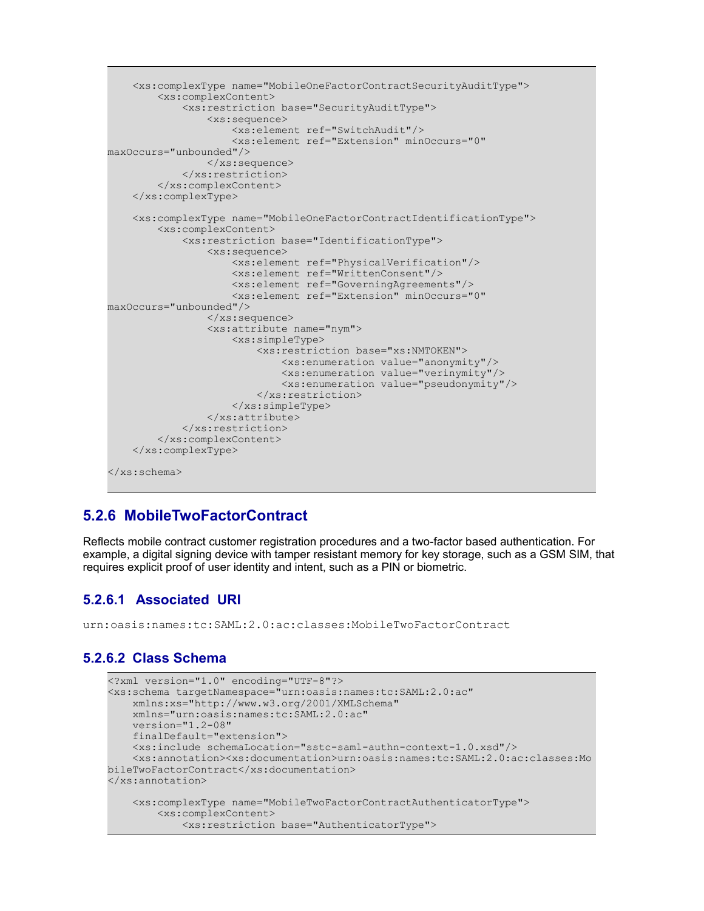```
 <xs:complexType name="MobileOneFactorContractSecurityAuditType">
         <xs:complexContent>
             <xs:restriction base="SecurityAuditType">
                  <xs:sequence>
                      <xs:element ref="SwitchAudit"/>
                      <xs:element ref="Extension" minOccurs="0"
maxOccurs="unbounded"/>
                  </xs:sequence>
             </xs:restriction>
         </xs:complexContent>
     </xs:complexType>
     <xs:complexType name="MobileOneFactorContractIdentificationType">
         <xs:complexContent>
             <xs:restriction base="IdentificationType">
                  <xs:sequence>
                      <xs:element ref="PhysicalVerification"/>
                      <xs:element ref="WrittenConsent"/>
                      <xs:element ref="GoverningAgreements"/>
                      <xs:element ref="Extension" minOccurs="0"
maxOccurs="unbounded"/>
                  </xs:sequence>
                  <xs:attribute name="nym">
                      <xs:simpleType>
                          <xs:restriction base="xs:NMTOKEN">
                              <xs:enumeration value="anonymity"/>
                              <xs:enumeration value="verinymity"/>
                              <xs:enumeration value="pseudonymity"/>
                          </xs:restriction>
                      </xs:simpleType>
                 \langle xs: \text{attribute} \rangle </xs:restriction>
         </xs:complexContent>
     </xs:complexType>
</xs:schema>
```
#### **5.2.6 MobileTwoFactorContract**

Reflects mobile contract customer registration procedures and a two-factor based authentication. For example, a digital signing device with tamper resistant memory for key storage, such as a GSM SIM, that requires explicit proof of user identity and intent, such as a PIN or biometric.

#### **5.2.6.1 Associated URI**

urn:oasis:names:tc:SAML:2.0:ac:classes:MobileTwoFactorContract

#### **5.2.6.2 Class Schema**

```
<?xml version="1.0" encoding="UTF-8"?>
<xs:schema targetNamespace="urn:oasis:names:tc:SAML:2.0:ac" 
     xmlns:xs="http://www.w3.org/2001/XMLSchema" 
     xmlns="urn:oasis:names:tc:SAML:2.0:ac" 
     version="1.2-08" 
     finalDefault="extension">
     <xs:include schemaLocation="sstc-saml-authn-context-1.0.xsd"/>
     <xs:annotation><xs:documentation>urn:oasis:names:tc:SAML:2.0:ac:classes:Mo
bileTwoFactorContract</xs:documentation>
</xs:annotation>
     <xs:complexType name="MobileTwoFactorContractAuthenticatorType">
         <xs:complexContent>
             <xs:restriction base="AuthenticatorType">
```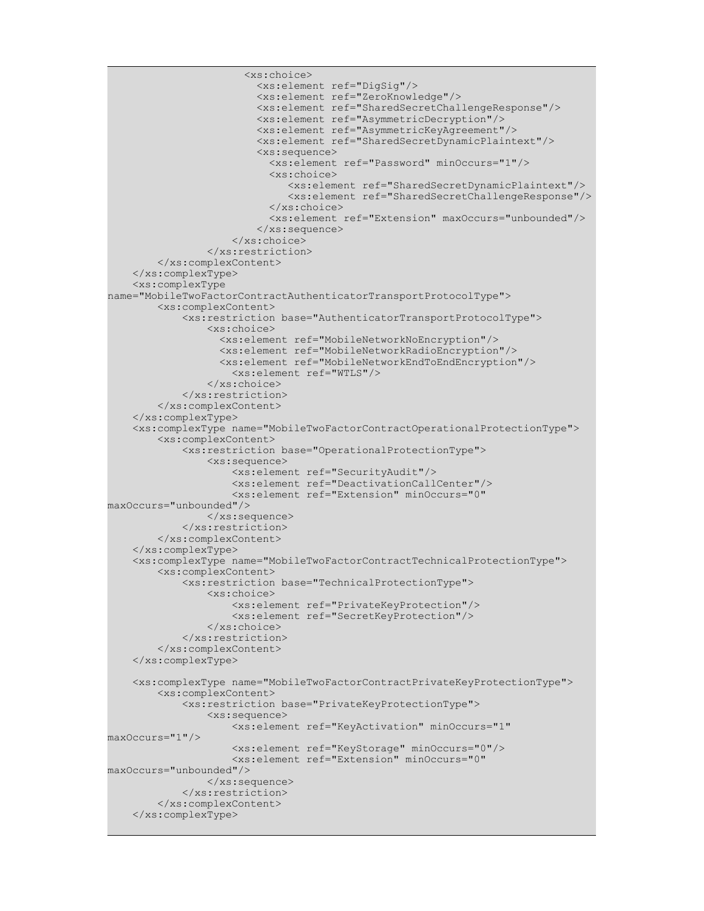```
 <xs:choice>
                          <xs:element ref="DigSig"/>
                          <xs:element ref="ZeroKnowledge"/>
                          <xs:element ref="SharedSecretChallengeResponse"/>
                          <xs:element ref="AsymmetricDecryption"/>
                          <xs:element ref="AsymmetricKeyAgreement"/>
                          <xs:element ref="SharedSecretDynamicPlaintext"/>
                          <xs:sequence>
                            <xs:element ref="Password" minOccurs="1"/>
                            <xs:choice>
                               <xs:element ref="SharedSecretDynamicPlaintext"/>
                               <xs:element ref="SharedSecretChallengeResponse"/>
                            </xs:choice>
                            <xs:element ref="Extension" maxOccurs="unbounded"/>
                          </xs:sequence>
                      </xs:choice>
                 </xs:restriction>
         </xs:complexContent>
     </xs:complexType>
     <xs:complexType
name="MobileTwoFactorContractAuthenticatorTransportProtocolType">
         <xs:complexContent>
             <xs:restriction base="AuthenticatorTransportProtocolType">
                 <xs:choice>
                   <xs:element ref="MobileNetworkNoEncryption"/>
                    <xs:element ref="MobileNetworkRadioEncryption"/>
                   <xs:element ref="MobileNetworkEndToEndEncryption"/>
                      <xs:element ref="WTLS"/>
                 </xs:choice>
             </xs:restriction>
         </xs:complexContent>
     </xs:complexType>
     <xs:complexType name="MobileTwoFactorContractOperationalProtectionType">
         <xs:complexContent>
             <xs:restriction base="OperationalProtectionType">
                 <xs:sequence>
                     <xs:element ref="SecurityAudit"/>
                     <xs:element ref="DeactivationCallCenter"/>
                      <xs:element ref="Extension" minOccurs="0"
maxOccurs="unbounded"/>
                 </xs:sequence>
             </xs:restriction>
         </xs:complexContent>
     </xs:complexType>
     <xs:complexType name="MobileTwoFactorContractTechnicalProtectionType">
         <xs:complexContent>
             <xs:restriction base="TechnicalProtectionType">
                 <xs:choice>
                     <xs:element ref="PrivateKeyProtection"/>
                     <xs:element ref="SecretKeyProtection"/>
                 </xs:choice>
             </xs:restriction>
         </xs:complexContent>
     </xs:complexType>
     <xs:complexType name="MobileTwoFactorContractPrivateKeyProtectionType">
         <xs:complexContent>
             <xs:restriction base="PrivateKeyProtectionType">
                 <xs:sequence>
                      <xs:element ref="KeyActivation" minOccurs="1"
maxOccurs="1"/>
                     <xs:element ref="KeyStorage" minOccurs="0"/>
                      <xs:element ref="Extension" minOccurs="0"
maxOccurs="unbounded"/>
                 </xs:sequence>
             </xs:restriction>
         </xs:complexContent>
     </xs:complexType>
```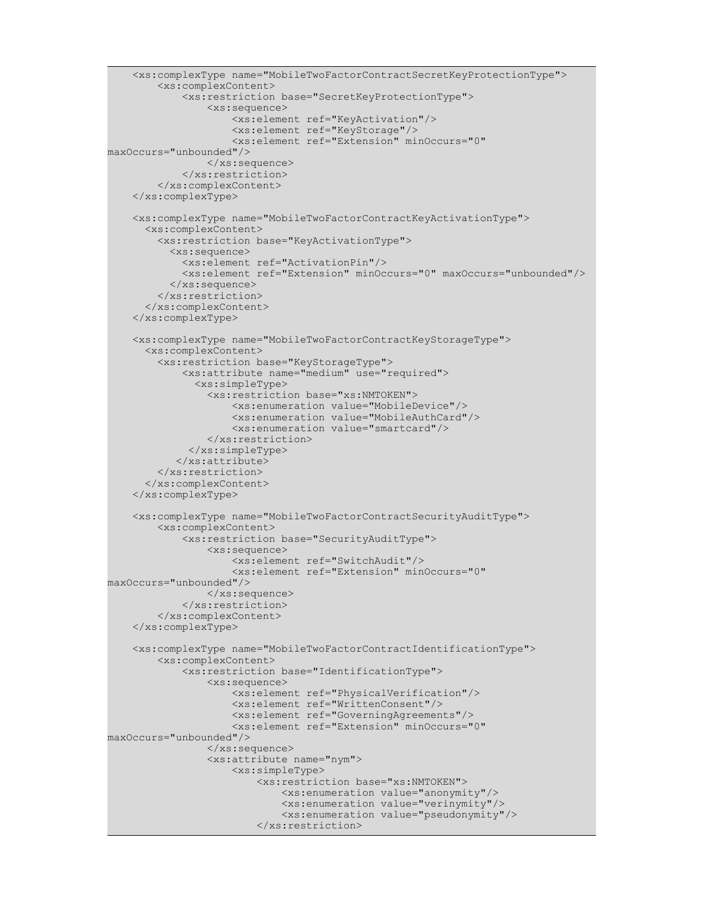```
 <xs:complexType name="MobileTwoFactorContractSecretKeyProtectionType">
         <xs:complexContent>
             <xs:restriction base="SecretKeyProtectionType">
                 <xs:sequence>
                     <xs:element ref="KeyActivation"/>
                     <xs:element ref="KeyStorage"/>
                     <xs:element ref="Extension" minOccurs="0"
maxOccurs="unbounded"/>
                 </xs:sequence>
             </xs:restriction>
         </xs:complexContent>
     </xs:complexType>
     <xs:complexType name="MobileTwoFactorContractKeyActivationType">
       <xs:complexContent> 
         <xs:restriction base="KeyActivationType">
           <xs:sequence>
             <xs:element ref="ActivationPin"/>
             <xs:element ref="Extension" minOccurs="0" maxOccurs="unbounded"/>
           </xs:sequence>
         </xs:restriction>
       </xs:complexContent>
     </xs:complexType>
     <xs:complexType name="MobileTwoFactorContractKeyStorageType">
       <xs:complexContent> 
         <xs:restriction base="KeyStorageType"> 
             <xs:attribute name="medium" use="required">
               <xs:simpleType>
                 <xs:restriction base="xs:NMTOKEN">
                      <xs:enumeration value="MobileDevice"/>
                     <xs:enumeration value="MobileAuthCard"/>
                     <xs:enumeration value="smartcard"/>
                 </xs:restriction>
              </xs:simpleType>
            </xs:attribute>
         </xs:restriction>
       </xs:complexContent>
     </xs:complexType>
     <xs:complexType name="MobileTwoFactorContractSecurityAuditType">
         <xs:complexContent>
             <xs:restriction base="SecurityAuditType">
                 <xs:sequence>
                     <xs:element ref="SwitchAudit"/>
                     <xs:element ref="Extension" minOccurs="0"
maxOccurs="unbounded"/>
                 </xs:sequence>
             </xs:restriction>
         </xs:complexContent>
     </xs:complexType>
     <xs:complexType name="MobileTwoFactorContractIdentificationType">
         <xs:complexContent>
             <xs:restriction base="IdentificationType">
                 <xs:sequence>
                     <xs:element ref="PhysicalVerification"/>
                     <xs:element ref="WrittenConsent"/>
                     <xs:element ref="GoverningAgreements"/>
                      <xs:element ref="Extension" minOccurs="0"
maxOccurs="unbounded"/>
                 </xs:sequence>
                 <xs:attribute name="nym">
                      <xs:simpleType>
                          <xs:restriction base="xs:NMTOKEN">
                              <xs:enumeration value="anonymity"/>
                              <xs:enumeration value="verinymity"/>
                              <xs:enumeration value="pseudonymity"/>
                          </xs:restriction>
```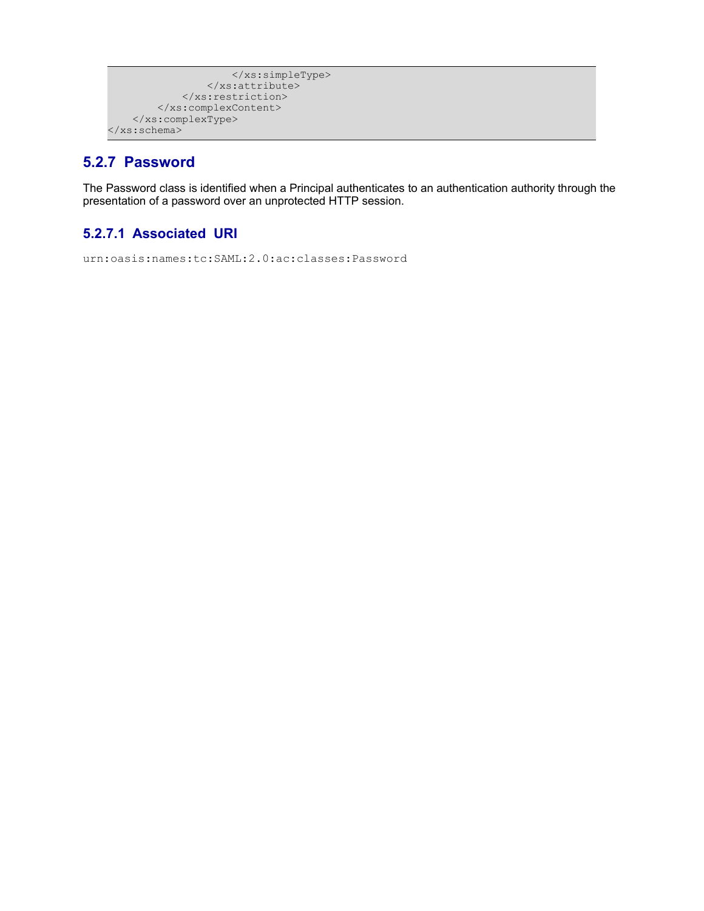```
 </xs:simpleType>
                  </xs:attribute>
             </xs:restriction>
         </xs:complexContent>
     </xs:complexType>
</xs:schema>
```
#### **5.2.7 Password**

The Password class is identified when a Principal authenticates to an authentication authority through the presentation of a password over an unprotected HTTP session.

#### **5.2.7.1 Associated URI**

urn:oasis:names:tc:SAML:2.0:ac:classes:Password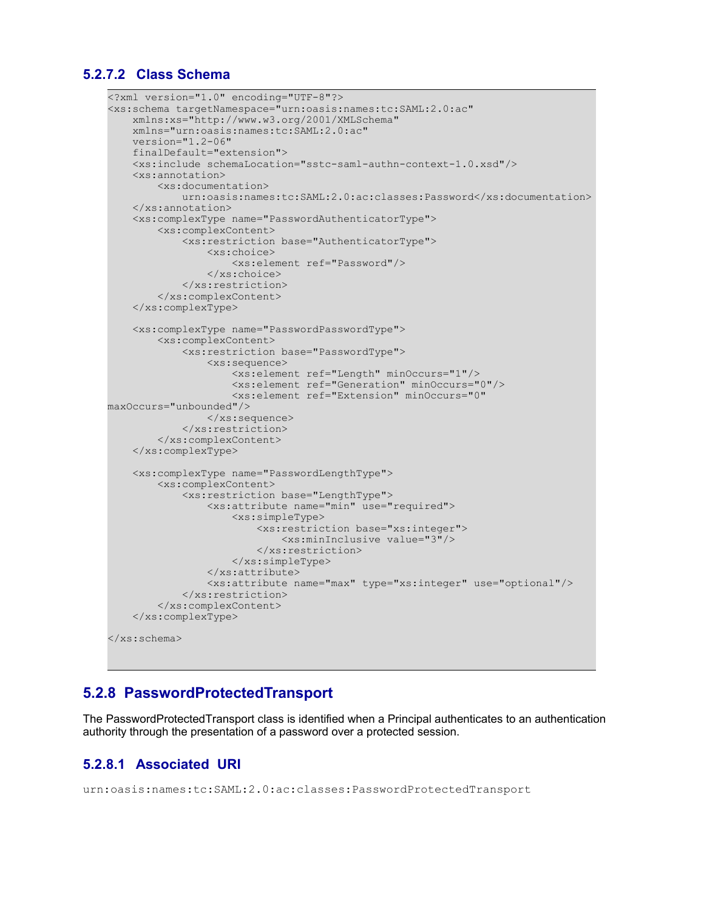#### **5.2.7.2 Class Schema**

```
<?xml version="1.0" encoding="UTF-8"?>
<xs:schema targetNamespace="urn:oasis:names:tc:SAML:2.0:ac" 
    xmlns:xs="http://www.w3.org/2001/XMLSchema" 
    xmlns="urn:oasis:names:tc:SAML:2.0:ac" 
    version="1.2-06" 
     finalDefault="extension">
     <xs:include schemaLocation="sstc-saml-authn-context-1.0.xsd"/>
     <xs:annotation>
         <xs:documentation> 
             urn:oasis:names:tc:SAML:2.0:ac:classes:Password</xs:documentation>
    </xs:annotation>
     <xs:complexType name="PasswordAuthenticatorType">
         <xs:complexContent>
             <xs:restriction base="AuthenticatorType">
                 <xs:choice>
                      <xs:element ref="Password"/>
                 </xs:choice>
             </xs:restriction>
         </xs:complexContent>
     </xs:complexType>
     <xs:complexType name="PasswordPasswordType">
         <xs:complexContent>
             <xs:restriction base="PasswordType">
                 <xs:sequence>
                     <xs:element ref="Length" minOccurs="1"/>
                     <xs:element ref="Generation" minOccurs="0"/>
                      <xs:element ref="Extension" minOccurs="0"
maxOccurs="unbounded"/>
                 </xs:sequence>
             </xs:restriction>
         </xs:complexContent>
     </xs:complexType>
     <xs:complexType name="PasswordLengthType">
         <xs:complexContent>
             <xs:restriction base="LengthType">
                 <xs:attribute name="min" use="required">
                     <xs:simpleType>
                          <xs:restriction base="xs:integer">
                              <xs:minInclusive value="3"/>
                          </xs:restriction>
                      </xs:simpleType>
                 </xs:attribute>
                 <xs:attribute name="max" type="xs:integer" use="optional"/>
             </xs:restriction>
         </xs:complexContent>
     </xs:complexType>
</xs:schema>
```
#### **5.2.8 PasswordProtectedTransport**

The PasswordProtectedTransport class is identified when a Principal authenticates to an authentication authority through the presentation of a password over a protected session.

#### **5.2.8.1 Associated URI**

```
urn:oasis:names:tc:SAML:2.0:ac:classes:PasswordProtectedTransport
```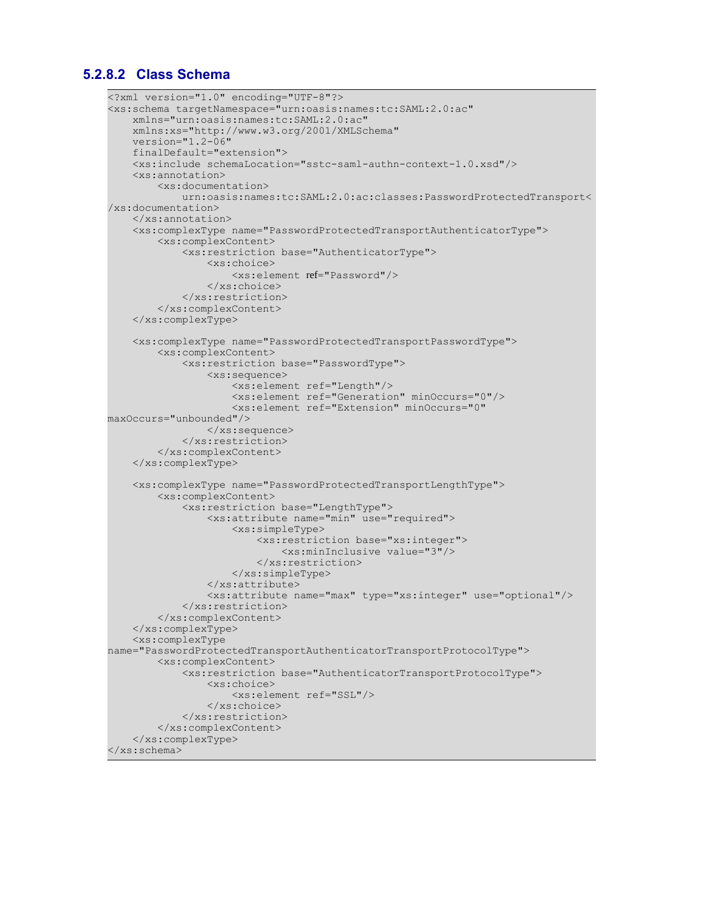#### **5.2.8.2 Class Schema**

```
<?xml version="1.0" encoding="UTF-8"?>
<xs:schema targetNamespace="urn:oasis:names:tc:SAML:2.0:ac" 
    xmlns="urn:oasis:names:tc:SAML:2.0:ac" 
    xmlns:xs="http://www.w3.org/2001/XMLSchema" 
    version="1.2-06" 
     finalDefault="extension">
     <xs:include schemaLocation="sstc-saml-authn-context-1.0.xsd"/>
     <xs:annotation>
         <xs:documentation> 
             urn:oasis:names:tc:SAML:2.0:ac:classes:PasswordProtectedTransport<
/xs:documentation>
    </xs:annotation>
     <xs:complexType name="PasswordProtectedTransportAuthenticatorType">
         <xs:complexContent>
             <xs:restriction base="AuthenticatorType">
                 <xs:choice>
                     <xs:element ref="Password"/>
                 </xs:choice>
             </xs:restriction>
         </xs:complexContent>
     </xs:complexType>
     <xs:complexType name="PasswordProtectedTransportPasswordType">
         <xs:complexContent>
             <xs:restriction base="PasswordType">
                 <xs:sequence>
                     <xs:element ref="Length"/>
                     <xs:element ref="Generation" minOccurs="0"/>
                     <xs:element ref="Extension" minOccurs="0"
maxOccurs="unbounded"/>
                 </xs:sequence>
             </xs:restriction>
         </xs:complexContent>
     </xs:complexType>
     <xs:complexType name="PasswordProtectedTransportLengthType">
         <xs:complexContent>
             <xs:restriction base="LengthType">
                 <xs:attribute name="min" use="required">
                     <xs:simpleType>
                          <xs:restriction base="xs:integer">
                              <xs:minInclusive value="3"/>
                          </xs:restriction>
                     </xs:simpleType>
                 </xs:attribute>
                 <xs:attribute name="max" type="xs:integer" use="optional"/>
             </xs:restriction>
         </xs:complexContent>
     </xs:complexType>
     <xs:complexType
name="PasswordProtectedTransportAuthenticatorTransportProtocolType">
         <xs:complexContent>
             <xs:restriction base="AuthenticatorTransportProtocolType">
                 <xs:choice>
                     <xs:element ref="SSL"/>
                 </xs:choice>
             </xs:restriction>
         </xs:complexContent>
     </xs:complexType>
</xs:schema>
```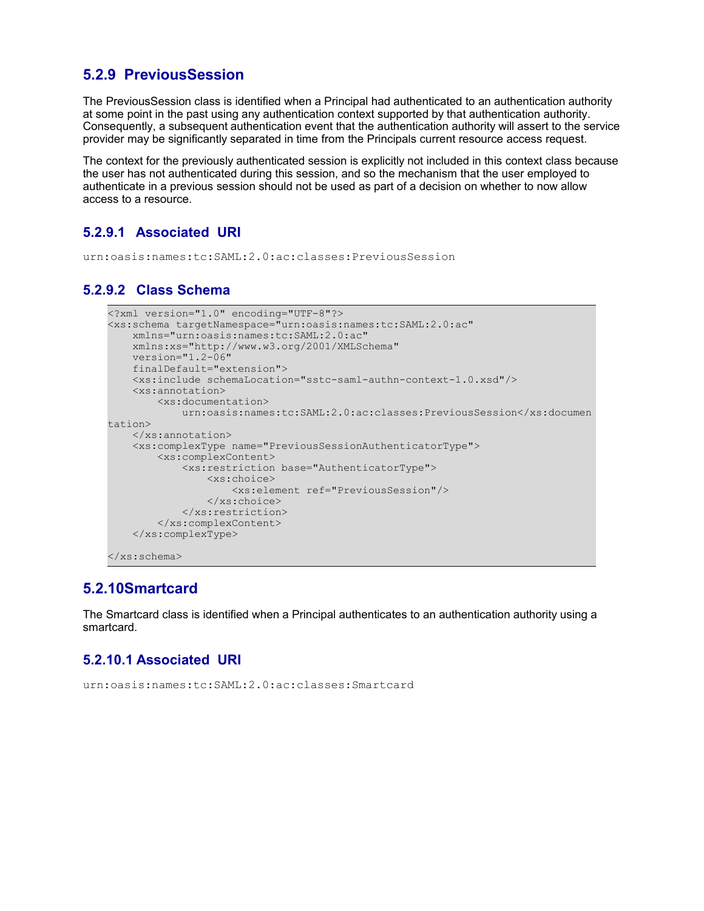#### **5.2.9 PreviousSession**

The PreviousSession class is identified when a Principal had authenticated to an authentication authority at some point in the past using any authentication context supported by that authentication authority. Consequently, a subsequent authentication event that the authentication authority will assert to the service provider may be significantly separated in time from the Principals current resource access request.

The context for the previously authenticated session is explicitly not included in this context class because the user has not authenticated during this session, and so the mechanism that the user employed to authenticate in a previous session should not be used as part of a decision on whether to now allow access to a resource.

#### **5.2.9.1 Associated URI**

urn:oasis:names:tc:SAML:2.0:ac:classes:PreviousSession

#### **5.2.9.2 Class Schema**

```
<?xml version="1.0" encoding="UTF-8"?>
<xs:schema targetNamespace="urn:oasis:names:tc:SAML:2.0:ac" 
    xmlns="urn:oasis:names:tc:SAML:2.0:ac" 
    xmlns:xs="http://www.w3.org/2001/XMLSchema" 
     version="1.2-06" 
    finalDefault="extension">
    <xs:include schemaLocation="sstc-saml-authn-context-1.0.xsd"/>
     <xs:annotation>
         <xs:documentation> 
            urn:oasis:names:tc:SAML:2.0:ac:classes:PreviousSession</xs:documen
tation>
    </xs:annotation>
     <xs:complexType name="PreviousSessionAuthenticatorType">
         <xs:complexContent>
             <xs:restriction base="AuthenticatorType">
                 <xs:choice>
                     <xs:element ref="PreviousSession"/>
                 </xs:choice>
             </xs:restriction>
         </xs:complexContent>
     </xs:complexType>
</xs:schema>
```
#### **5.2.10Smartcard**

The Smartcard class is identified when a Principal authenticates to an authentication authority using a smartcard.

#### **5.2.10.1 Associated URI**

```
urn:oasis:names:tc:SAML:2.0:ac:classes:Smartcard
```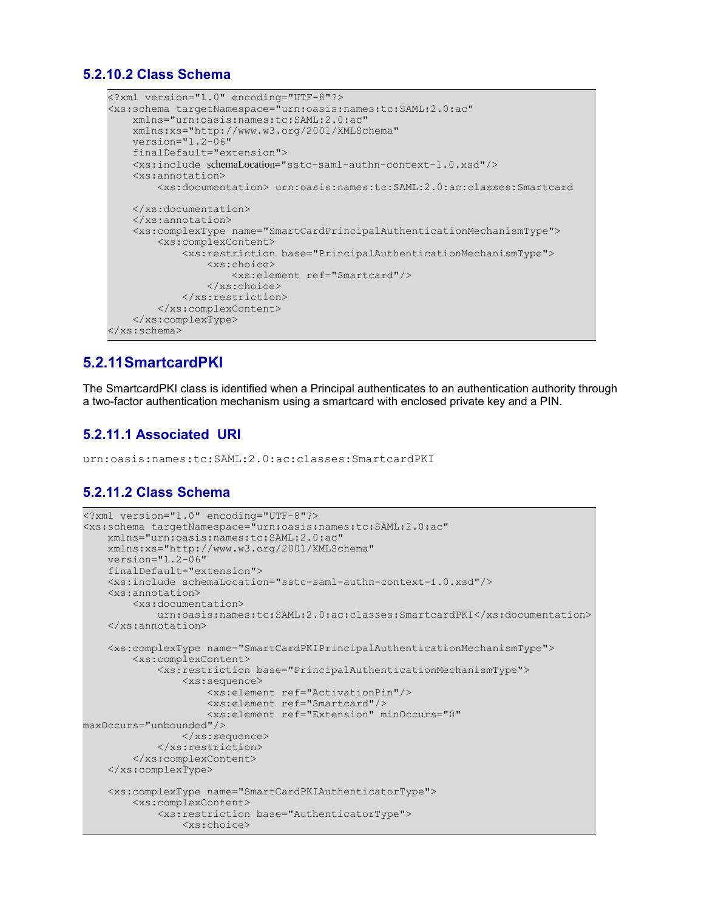#### **5.2.10.2 Class Schema**

```
<?xml version="1.0" encoding="UTF-8"?>
<xs:schema targetNamespace="urn:oasis:names:tc:SAML:2.0:ac" 
    xmlns="urn:oasis:names:tc:SAML:2.0:ac" 
    xmlns:xs="http://www.w3.org/2001/XMLSchema" 
    version="1.2-06" 
     finalDefault="extension">
    <xs:include schemaLocation="sstc-saml-authn-context-1.0.xsd"/>
     <xs:annotation>
         <xs:documentation> urn:oasis:names:tc:SAML:2.0:ac:classes:Smartcard
    </xs:documentation>
    </xs:annotation>
     <xs:complexType name="SmartCardPrincipalAuthenticationMechanismType">
         <xs:complexContent>
             <xs:restriction base="PrincipalAuthenticationMechanismType">
                 <xs:choice>
                     <xs:element ref="Smartcard"/>
                 </xs:choice>
             </xs:restriction>
         </xs:complexContent>
     </xs:complexType>
</xs:schema>
```
#### **5.2.11SmartcardPKI**

The SmartcardPKI class is identified when a Principal authenticates to an authentication authority through a two-factor authentication mechanism using a smartcard with enclosed private key and a PIN.

#### **5.2.11.1 Associated URI**

```
urn:oasis:names:tc:SAML:2.0:ac:classes:SmartcardPKI
```
#### **5.2.11.2 Class Schema**

```
<?xml version="1.0" encoding="UTF-8"?>
<xs:schema targetNamespace="urn:oasis:names:tc:SAML:2.0:ac" 
    xmlns="urn:oasis:names:tc:SAML:2.0:ac" 
    xmlns:xs="http://www.w3.org/2001/XMLSchema" 
    version="1.2-06" 
     finalDefault="extension">
     <xs:include schemaLocation="sstc-saml-authn-context-1.0.xsd"/>
     <xs:annotation>
         <xs:documentation> 
             urn:oasis:names:tc:SAML:2.0:ac:classes:SmartcardPKI</xs:documentation>
     </xs:annotation>
     <xs:complexType name="SmartCardPKIPrincipalAuthenticationMechanismType">
         <xs:complexContent>
             <xs:restriction base="PrincipalAuthenticationMechanismType">
                 <xs:sequence>
                     <xs:element ref="ActivationPin"/>
                     <xs:element ref="Smartcard"/>
                     <xs:element ref="Extension" minOccurs="0"
maxOccurs="unbounded"/>
                 </xs:sequence>
             </xs:restriction>
         </xs:complexContent>
     </xs:complexType>
     <xs:complexType name="SmartCardPKIAuthenticatorType">
         <xs:complexContent>
             <xs:restriction base="AuthenticatorType">
                 <xs:choice>
```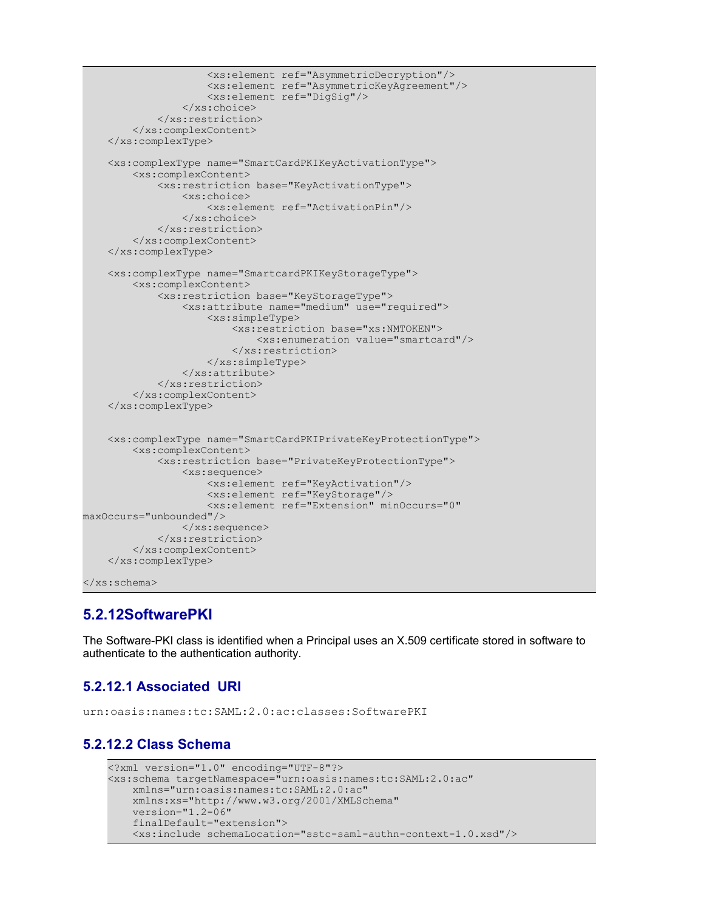```
 <xs:element ref="AsymmetricDecryption"/>
                      <xs:element ref="AsymmetricKeyAgreement"/>
                      <xs:element ref="DigSig"/>
                  </xs:choice>
             </xs:restriction>
         </xs:complexContent>
     </xs:complexType>
     <xs:complexType name="SmartCardPKIKeyActivationType">
         <xs:complexContent>
             <xs:restriction base="KeyActivationType">
                 <xs:choice>
                     <xs:element ref="ActivationPin"/>
                 </xs:choice>
             </xs:restriction>
         </xs:complexContent>
     </xs:complexType>
     <xs:complexType name="SmartcardPKIKeyStorageType">
         <xs:complexContent>
             <xs:restriction base="KeyStorageType">
                 <xs:attribute name="medium" use="required">
                      <xs:simpleType>
                          <xs:restriction base="xs:NMTOKEN">
                              <xs:enumeration value="smartcard"/>
                          </xs:restriction>
                      </xs:simpleType>
                  </xs:attribute>
             </xs:restriction>
         </xs:complexContent>
     </xs:complexType>
     <xs:complexType name="SmartCardPKIPrivateKeyProtectionType">
         <xs:complexContent>
             <xs:restriction base="PrivateKeyProtectionType">
                 <xs:sequence>
                      <xs:element ref="KeyActivation"/>
                      <xs:element ref="KeyStorage"/>
                      <xs:element ref="Extension" minOccurs="0"
maxOccurs="unbounded"/>
                  </xs:sequence>
             </xs:restriction>
         </xs:complexContent>
     </xs:complexType>
</xs:schema>
```
#### **5.2.12SoftwarePKI**

The Software-PKI class is identified when a Principal uses an X.509 certificate stored in software to authenticate to the authentication authority.

#### **5.2.12.1 Associated URI**

urn:oasis:names:tc:SAML:2.0:ac:classes:SoftwarePKI

#### **5.2.12.2 Class Schema**

```
<?xml version="1.0" encoding="UTF-8"?>
<xs:schema targetNamespace="urn:oasis:names:tc:SAML:2.0:ac" 
    xmlns="urn:oasis:names:tc:SAML:2.0:ac" 
     xmlns:xs="http://www.w3.org/2001/XMLSchema" 
    version="1.2-06" 
     finalDefault="extension">
    <xs:include schemaLocation="sstc-saml-authn-context-1.0.xsd"/>
```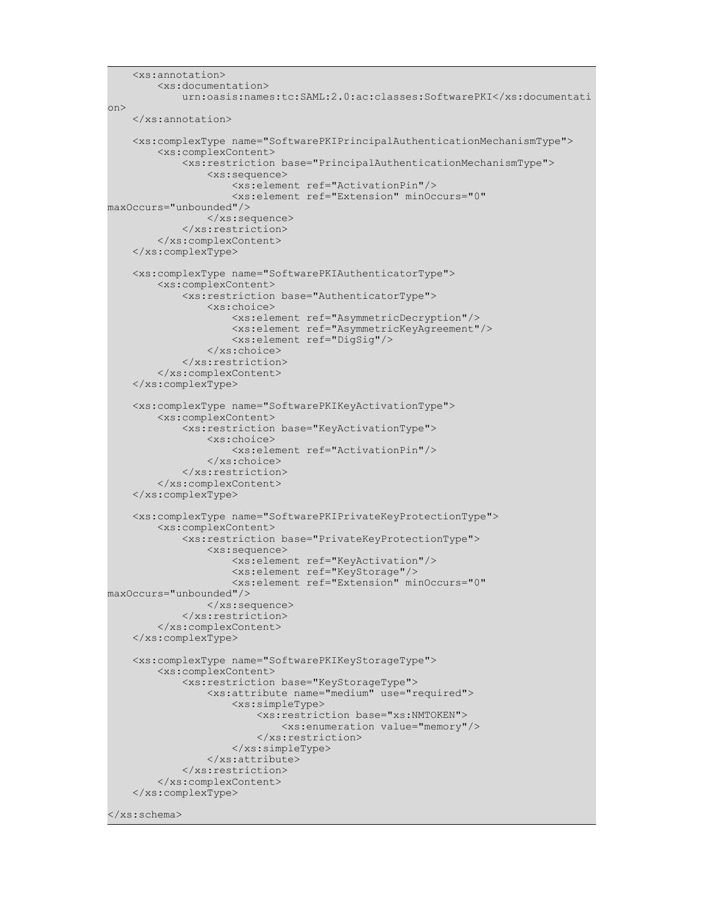```
 <xs:annotation>
         <xs:documentation> 
             urn:oasis:names:tc:SAML:2.0:ac:classes:SoftwarePKI</xs:documentati
on>
     </xs:annotation>
     <xs:complexType name="SoftwarePKIPrincipalAuthenticationMechanismType">
         <xs:complexContent>
              <xs:restriction base="PrincipalAuthenticationMechanismType">
                  <xs:sequence>
                      <xs:element ref="ActivationPin"/>
                      <xs:element ref="Extension" minOccurs="0"
maxOccurs="unbounded"/>
                \langle xs:sequence \rangle </xs:restriction>
         </xs:complexContent>
     </xs:complexType>
     <xs:complexType name="SoftwarePKIAuthenticatorType">
         <xs:complexContent>
             <xs:restriction base="AuthenticatorType">
                  <xs:choice>
                      <xs:element ref="AsymmetricDecryption"/>
                      <xs:element ref="AsymmetricKeyAgreement"/>
                      <xs:element ref="DigSig"/>
                  </xs:choice>
             </xs:restriction>
         </xs:complexContent>
     </xs:complexType>
     <xs:complexType name="SoftwarePKIKeyActivationType">
         <xs:complexContent>
             <xs:restriction base="KeyActivationType">
                  <xs:choice>
                      <xs:element ref="ActivationPin"/>
                  </xs:choice>
             </xs:restriction>
         </xs:complexContent>
     </xs:complexType>
     <xs:complexType name="SoftwarePKIPrivateKeyProtectionType">
         <xs:complexContent>
             <xs:restriction base="PrivateKeyProtectionType">
                  <xs:sequence>
                      <xs:element ref="KeyActivation"/>
                      <xs:element ref="KeyStorage"/>
                      <xs:element ref="Extension" minOccurs="0"
maxOccurs="unbounded"/>
                 </xs:sequence>
             </xs:restriction>
         </xs:complexContent>
     </xs:complexType>
     <xs:complexType name="SoftwarePKIKeyStorageType">
         <xs:complexContent>
             <xs:restriction base="KeyStorageType">
                 <xs:attribute name="medium" use="required">
                      <xs:simpleType>
                          <xs:restriction base="xs:NMTOKEN">
                              <xs:enumeration value="memory"/>
                          </xs:restriction>
                      </xs:simpleType>
                  </xs:attribute>
             </xs:restriction>
         </xs:complexContent>
     </xs:complexType>
```
</xs:schema>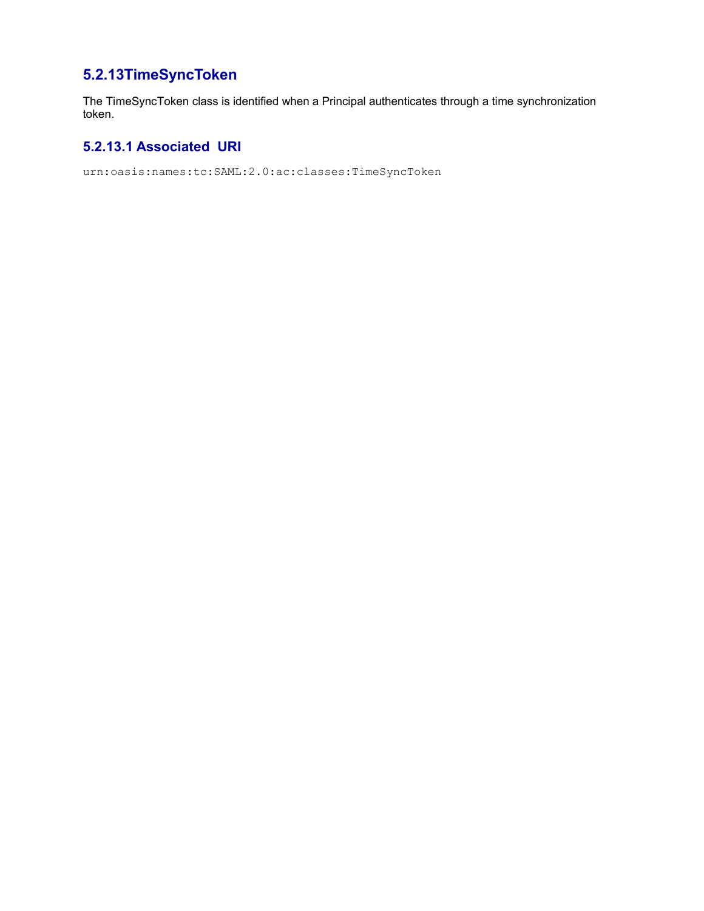## **5.2.13TimeSyncToken**

The TimeSyncToken class is identified when a Principal authenticates through a time synchronization token.

#### **5.2.13.1 Associated URI**

urn:oasis:names:tc:SAML:2.0:ac:classes:TimeSyncToken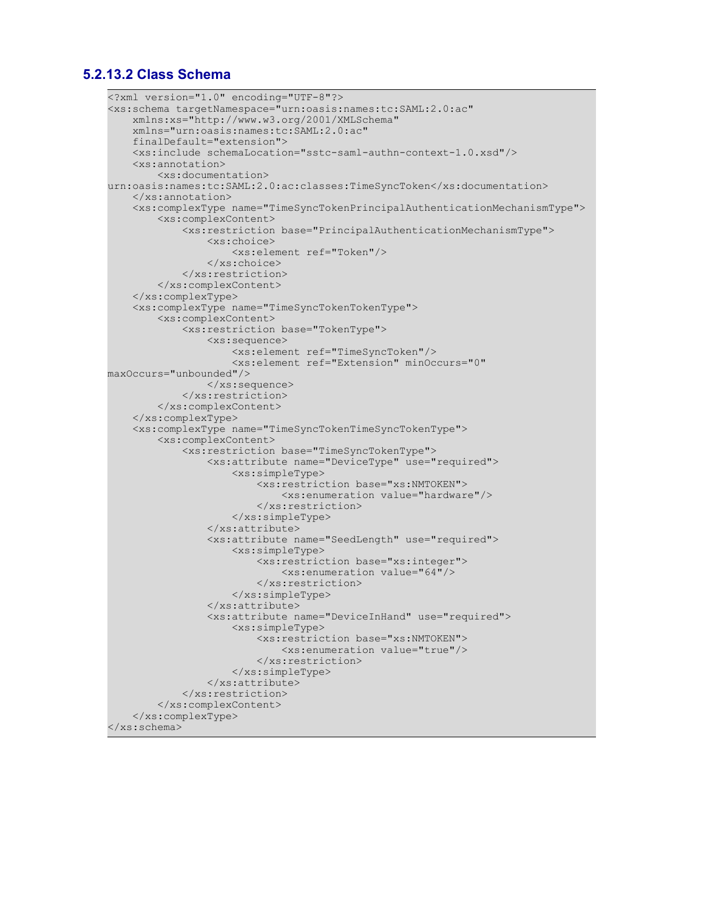#### **5.2.13.2 Class Schema**

```
<?xml version="1.0" encoding="UTF-8"?>
<xs:schema targetNamespace="urn:oasis:names:tc:SAML:2.0:ac" 
     xmlns:xs="http://www.w3.org/2001/XMLSchema" 
     xmlns="urn:oasis:names:tc:SAML:2.0:ac" 
     finalDefault="extension">
     <xs:include schemaLocation="sstc-saml-authn-context-1.0.xsd"/>
     <xs:annotation>
         <xs:documentation>
urn:oasis:names:tc:SAML:2.0:ac:classes:TimeSyncToken</xs:documentation>
     </xs:annotation>
     <xs:complexType name="TimeSyncTokenPrincipalAuthenticationMechanismType">
         <xs:complexContent>
             <xs:restriction base="PrincipalAuthenticationMechanismType">
                 <xs:choice>
                     <xs:element ref="Token"/>
                 </xs:choice>
             </xs:restriction>
         </xs:complexContent>
     </xs:complexType>
     <xs:complexType name="TimeSyncTokenTokenType">
         <xs:complexContent>
             <xs:restriction base="TokenType">
                 <xs:sequence>
                     <xs:element ref="TimeSyncToken"/>
                      <xs:element ref="Extension" minOccurs="0"
maxOccurs="unbounded"/>
                 </xs:sequence>
             </xs:restriction>
         </xs:complexContent>
     </xs:complexType>
     <xs:complexType name="TimeSyncTokenTimeSyncTokenType">
         <xs:complexContent>
             <xs:restriction base="TimeSyncTokenType">
                 <xs:attribute name="DeviceType" use="required">
                      <xs:simpleType>
                          <xs:restriction base="xs:NMTOKEN">
                              <xs:enumeration value="hardware"/>
                          </xs:restriction>
                      </xs:simpleType>
                 </xs:attribute>
                 <xs:attribute name="SeedLength" use="required">
                      <xs:simpleType>
                          <xs:restriction base="xs:integer">
                              <xs:enumeration value="64"/>
                          </xs:restriction>
                      </xs:simpleType>
                 </xs:attribute>
                  <xs:attribute name="DeviceInHand" use="required">
                      <xs:simpleType>
                          <xs:restriction base="xs:NMTOKEN">
                              <xs:enumeration value="true"/>
                          </xs:restriction>
                      </xs:simpleType>
                 </xs:attribute>
             </xs:restriction>
         </xs:complexContent>
     </xs:complexType>
</xs:schema>
```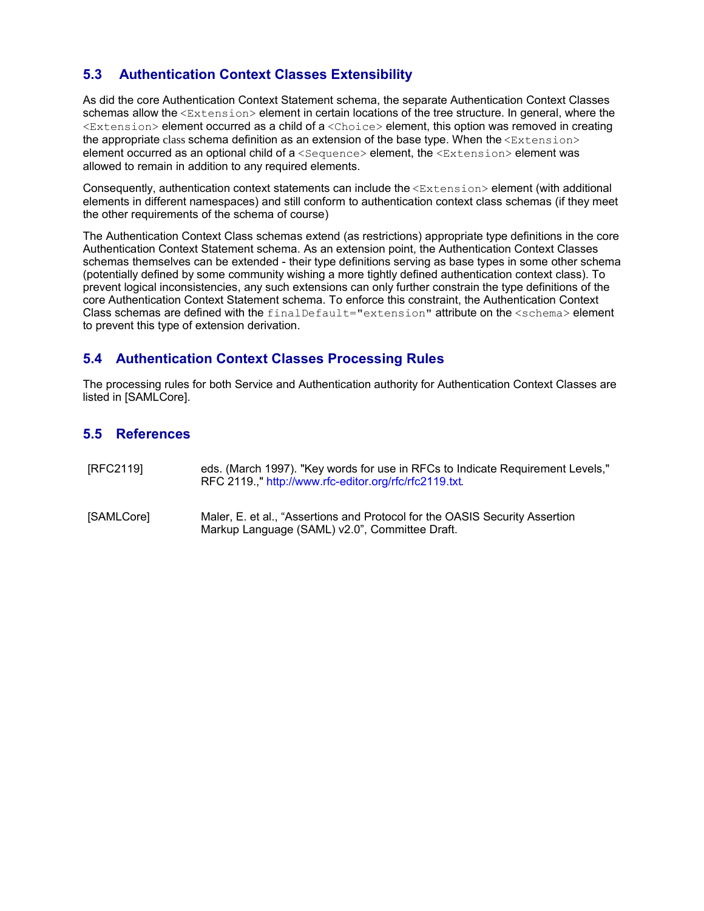#### **5.3 Authentication Context Classes Extensibility**

As did the core Authentication Context Statement schema, the separate Authentication Context Classes schemas allow the  $\leq$ Extension> element in certain locations of the tree structure. In general, where the <Extension> element occurred as a child of a <Choice> element, this option was removed in creating the appropriate class schema definition as an extension of the base type. When the  $\leq$ Extension> element occurred as an optional child of a <Sequence> element, the <Extension> element was allowed to remain in addition to any required elements.

Consequently, authentication context statements can include the <Extension> element (with additional elements in different namespaces) and still conform to authentication context class schemas (if they meet the other requirements of the schema of course)

The Authentication Context Class schemas extend (as restrictions) appropriate type definitions in the core Authentication Context Statement schema. As an extension point, the Authentication Context Classes schemas themselves can be extended - their type definitions serving as base types in some other schema (potentially defined by some community wishing a more tightly defined authentication context class). To prevent logical inconsistencies, any such extensions can only further constrain the type definitions of the core Authentication Context Statement schema. To enforce this constraint, the Authentication Context Class schemas are defined with the finalDefault="extension" attribute on the <schema> element to prevent this type of extension derivation.

#### **5.4 Authentication Context Classes Processing Rules**

The processing rules for both Service and Authentication authority for Authentication Context Classes are listed in [SAMLCore].

#### **5.5 References**

- [RFC2119] eds. (March 1997). "Key words for use in RFCs to Indicate Requirement Levels," RFC 2119.," http://www.rfc-editor.org/rfc/rfc2119.txt.
- [SAMLCore] Maler, E. et al., "Assertions and Protocol for the OASIS Security Assertion Markup Language (SAML) v2.0", Committee Draft.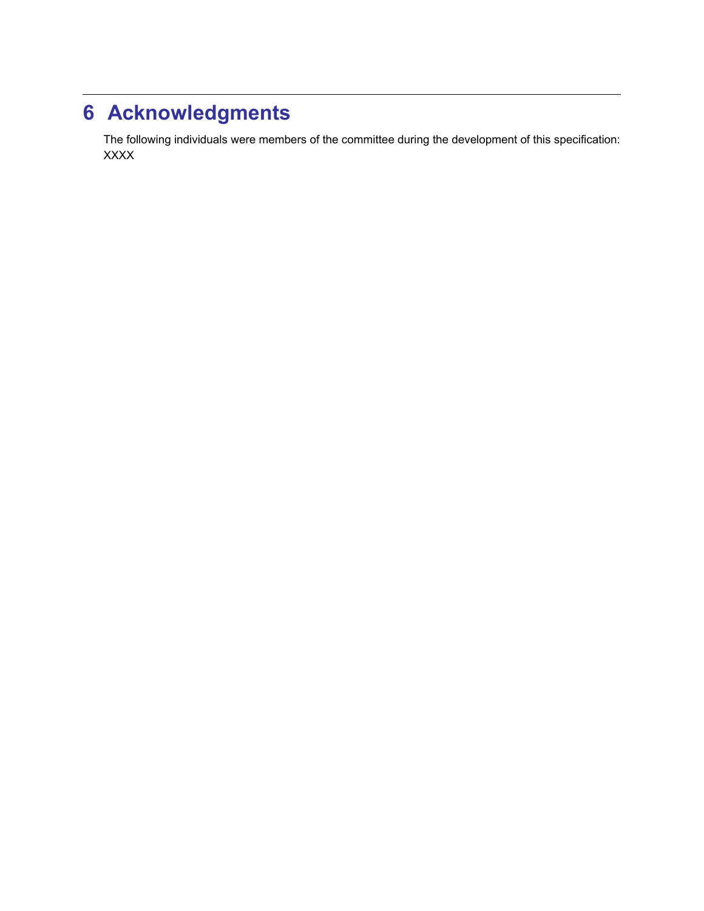## **6 Acknowledgments**

The following individuals were members of the committee during the development of this specification: XXXX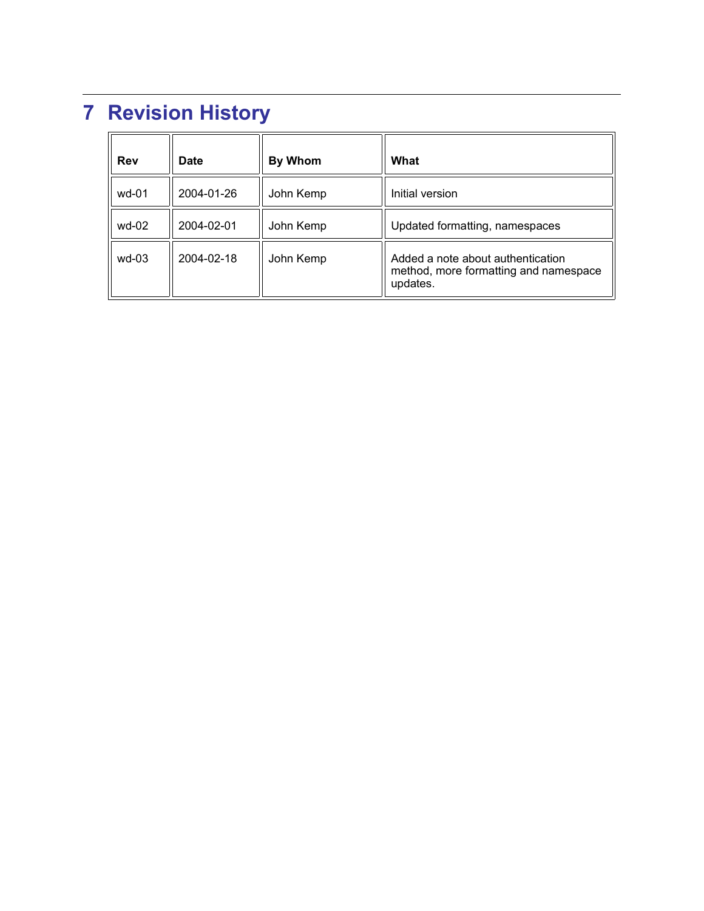# **7 Revision History**

| <b>Rev</b> | <b>Date</b> | <b>By Whom</b> | What                                                                                   |
|------------|-------------|----------------|----------------------------------------------------------------------------------------|
| wd-01      | 2004-01-26  | John Kemp      | Initial version                                                                        |
| wd-02      | 2004-02-01  | John Kemp      | Updated formatting, namespaces                                                         |
| $wd-03$    | 2004-02-18  | John Kemp      | Added a note about authentication<br>method, more formatting and namespace<br>updates. |